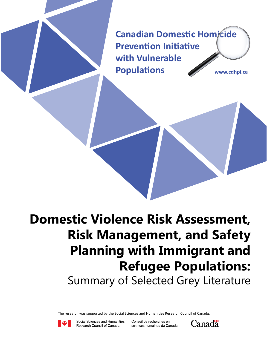**Canadian Domestic Homicide Prevention Initiative with Vulnerable Populations www.cdhpi.ca**

**Domestic Violence Risk Assessment, Risk Management, and Safety Planning with Immigrant and Refugee Populations:** Summary of Selected Grey Literature

The research was supported by the Social Sciences and Humanities Research Council of Canada.



Social Sciences and Humanities Research Council of Canada

Conseil de recherches en sciences humaines du Canada

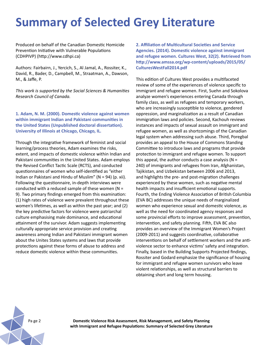# **Summary of Selected Grey Literature**

Produced on behalf of the Canadian Domestic Homicide Prevention Initiative with Vulnerable Populations (CDHPIVP) (http://www.cdhpi.ca)

Authors: Fairbairn, J., Yercich, S., Al Jamal, A., Rossiter, K., David, R., Bader, D., Campbell, M., Straatman, A., Dawson, M., & Jaffe, P.

*This work is supported by the Social Sciences & Humanities Research Council of Canada.*

**1. Adam, N. M. (2000). Domestic violence against women within immigrant Indian and Pakistani communities in the United States (Unpublished doctoral dissertation). University of Illinois at Chicago, Chicago, IL.**

Through the integrative framework of feminist and social learning/process theories, Adam examines the risks, extent, and impacts of domestic violence within Indian and Pakistani communities in the United States. Adam employs the Revised Conflict Tactic Scale (RCTS), and conducted questionnaires of women who self-identified as "either Indian or Pakistani and Hindu of Muslim" (N = 94) (p. xii). Following the questionnaire, in-depth interviews were conducted with a reduced sample of these women ( $N =$ 9). Two primary findings emerged from this examination: (1) high rates of violence were prevalent throughout these women's lifetimes, as well as within the past year; and (2) the key predictive factors for violence were patriarchal culture emphasising male dominance, and educational attainment of the survivor. Adam suggests implementing culturally appropriate service provision and creating awareness among Indian and Pakistani immigrant women about the Unites States systems and laws that provide protections against these forms of abuse to address and reduce domestic violence within these communities.

**2. Affiliation of Multicultural Societies and Service Agencies. (2014). Domestic violence against immigrant and refugee women. Cultures West, 32(2). Retrieved from http://www.amssa.org/wp-content/uploads/2015/05/ CulturesWestFall2014.pdf**

This edition of Cultures West provides a multifaceted review of some of the experiences of violence specific to immigrant and refugee women. First, Suehn and Sokolova analyze women's experiences entering Canada through family class, as well as refugees and temporary workers, who are increasingly susceptible to violence, gendered oppression, and marginalization as a result of Canadian immigration laws and policies. Second, Kachouh reviews instances and impacts of sexual assault on immigrant and refugee women, as well as shortcomings of the Canadian legal system when addressing such abuse. Third, Poregbal provides an appeal to the House of Commons Standing Committee to introduce laws and programs that provide protection to immigrant and refugee women. To support this appeal, the author conducts a case analysis ( $N =$ 240) of immigrants and refugees from Iran, Afghanistan, Tajikistan, and Uzbekistan between 2006 and 2013, and highlights the pre- and post-migration challenges experienced by these women, such as negative mental health impacts and insufficient emotional supports. Fourth, the Ending Violence Association of British Columbia (EVA BC) addresses the unique needs of marginalized women who experience sexual and domestic violence, as well as the need for coordinated agency responses and some provincial efforts to improve assessment, prevention, intervention, and safety planning. Fifth, EVA BC also provides an overview of the Immigrant Women's Project (2009-2011) and suggests coordinative, collaborative interventions on behalf of settlement workers and the antiviolence sector to enhance victims' safety and integration. Finally, based in the Building Supports Projected findings, Rossiter and Godard emphasize the significance of housing for immigrant and refugee women survivors who leave violent relationships, as well as structural barriers to obtaining short and long term housing.

Pa ge 2 **Domestic Violence Risk Assessment, Risk Management, and Safety Planning with Immigrant and Refugee Populations: Summary of Selected Grey Literature**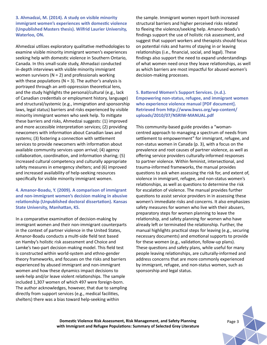**3. Ahmadzai, M. (2014). A study on visible minority immigrant women's experiences with domestic violence (Unpublished Masters thesis). Wilfrid Laurier University, Waterloo, ON.** 

Ahmedzai utilizes exploratory qualitative methodologies to examine visible minority immigrant women's experiences seeking help with domestic violence in Southern Ontario, Canada. In this small-scale study, Ahmadazi conducted in-depth interviews with visible minority immigrant women survivors ( $N = 2$ ) and professionals working with these populations ( $N = 3$ ). The author's analysis is portrayed through an anti-oppression theoretical lens, and the study highlights the personal/cultural (e.g., lack of Canadian credentials or employment history, language) and structural/systemic (e.g., immigration and sponsorship laws, legal status) barriers and risks experienced by visible minority immigrant women who seek help. To mitigate these barriers and risks, Ahmedzai suggests: (1) improved and more accessible interpretation services; (2) providing newcomers with information about Canadian laws and systems; (3) fostering a connection with settlement services to provide newcomers with information about available community services upon arrival; (4) agency collaboration, coordination, and information sharing; (5) increased cultural competency and culturally appropriate safety measures in emergency shelters; and (6) improved and increased availability of help-seeking resources specifically for visible minority immigrant women.

**4. Amanor-Boadu, Y. (2009). A comparison of immigrant and non-immigrant women's decision making in abusive relationship (Unpublished doctoral dissertation). Kansas State University, Manhattan, KS.**

In a comparative examination of decision-making by immigrant women and their non-immigrant counterparts in the context of partner violence in the United States, Amanor-Boadu conducts a multi-side field test based on Hamby's holistic risk assessment and Choice and Lamke's two-part decision-making model. This field test is constructed within world-system and ethno-gender theory frameworks, and focuses on the risks and barriers experienced by abused immigrant and non-immigrant women and how these dynamics impact decisions to seek-help and/or leave violent relationships. The sample included 1,307 women of which 497 were foreign-born. The author acknowledges, however, that due to sampling directly from support services (e.g., medical facilities, shelters) there was a bias toward help-seeking within

the sample. Immigrant women report both increased structural barriers and higher perceived risks related to fleeing the violence/seeking help. Amanor-Boadu's findings support the use of holistic risk assessment, and suggest that support workers and therapists should focus on potential risks and harms of staying in or leaving relationships (i.e., financial, social, and legal). These findings also support the need to expand understandings of what women need once they leave relationships, as well as which barriers are most impactful for abused women's decision-making processes.

**5. Battered Women's Support Services. (n.d.). Empowering non-status, refugee, and immigrant women who experience violence manual [PDF document]. Retrieved from http://www.bwss.org/wp-content/ uploads/2010/07/NSRIW-MANUAL.pdf**

This community-based guide provides a "womancentred approach to managing a spectrum of needs from settlement to empowerment" for immigrant, refugee, and non-status women in Canada (p. 3), with a focus on the prevalence and root causes of partner violence, as well as offering service providers culturally-informed responses to partner violence. Within feminist, intersectional, and trauma-informed frameworks, the manual provides questions to ask when assessing the risk for, and extent of, violence in immigrant, refugee, and non-status women's relationships, as well as questions to determine the risk for escalation of violence. The manual provides further questions to assist service providers in in assessing these women's immediate risks and concerns. It also emphasizes safety measures for women who live with their abusers, preparatory steps for women planning to leave the relationship, and safety planning for women who have already left or terminated the relationship. Further, the manual highlights practical steps for leaving (e.g., securing necessary documents) and emotional supports to provide for these women (e.g., validation, follow-up plans). These questions and safety plans, while useful for many people leaving relationships, are culturally-informed and address concerns that are more commonly experienced by immigrant, refugee, and non-status women, such as sponsorship and legal status.

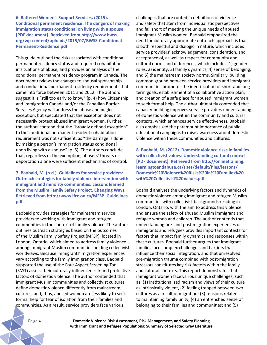**6. Battered Women's Support Services. (2015). Conditional permanent residence: The dangers of making immigration status conditional on living with a spouse [PDF document]. Retrieved from http://www.bwss. org/wp-content/uploads/2015/07/BWSS-Conditional-Permanent-Residence.pdf**

This guide outlined the risks associated with conditional permanent residency status and required cohabitation in situations of abuse, and provides an analysis of the conditional permanent residency program in Canada. The document reviews the changes to spousal sponsorship and conductional permanent residency requirements that came into force between 2011 and 2012. The authors suggest it is "still too early to know" (p. 4) how Citizenship and Immigration Canada and/or the Canadian Border Services Agency will address the abuse and neglect exception, but speculated that the exception does not necessarily protect abused immigrant women. Further, the authors contend that the "broadly defined exception" to the conditional permanent resident cohabitation requirement was not sufficient, as "the damage is done by making a person's immigration status conditional upon living with a spouse" (p. 5). The authors conclude that, regardless of the exemption, abusers' threats of deportation alone were sufficient mechanisms of control.

**7. Baobaid, M. (n.d.). Guidelines for service providers: Outreach strategies for family violence intervention with immigrant and minority communities: Lessons learned from the Muslim Family Safety Project. Changing Ways. Retrieved from http://www.lfcc.on.ca/MFSP\_Guidelines. pdf**

Baobaid provides strategies for mainstream service providers to working with immigrant and refugee communities in the context of family violence. The author outlines outreach strategies based on the outcomes of the Muslim Family Safety Project (MFSP), located in London, Ontario, which aimed to address family violence among immigrant Muslim communities holding collectivist worldviews. Because immigrants' migration experiences vary according to the family immigration class, Baobaid supported the use of the Four Aspect Screening Tool (FAST) assess their culturally-influenced risk and protective factors of domestic violence. The author contended that immigrant Muslim communities and collectivist cultures define domestic violence differently from mainstream cultures, and, thus, abused women are less likely to seek formal help for fear of isolation from their families and communities. As a result, service providers face various

challenges that are rooted in definitions of violence and safety that stem from individualistic perspectives and fall short of meeting the unique needs of abused immigrant Muslim women. Baobaid emphasized the need for culturally appropriate outreach approach is that is both respectful and dialogic in nature, which includes service providers' acknowledgement, consideration, and acceptance of, as well as respect for community and cultural norms and differences, which includes: 1) gender roles; 2) identity; 3) family dynamics; 4) sense of belonging; and 5) the mainstream society norms. Similarly, building common ground between service providers and immigrant communities promotes the identification of short and long term goals, establishment of a collaborative action plan, and creation of a safe place for abused immigrant women to seek formal help. The author ultimately contended that capacity-building improves service providers understanding of domestic violence within the community and cultural contexts, which enhances service effectiveness. Baobaid also emphasized the paramount importance of public educational campaigns to raise awareness about domestic violence within these communities and cultures.

**8. Baobaid, M. (2012). Domestic violence risks in families with collectivist values: Understanding cultural context [PDF document]. Retrieved from http://onlinetraining. learningtoendabuse.ca/sites/default/files/lessons/ Domestic%20Violence%20Risks%20in%20Families%20 with%20Collectivist%20Values.pdf**

Boabaid analyzes the underlying factors and dynamics of domestic violence among immigrant and refugee Muslim communities with collectivist backgrounds residing in London, Ontario, with the aim to address this violence and ensure the safety of abused Muslim immigrant and refugee women and children. The author contends that understanding pre- and post-migration experiences of immigrants and refugees provides important contexts for factors that impact family dynamics and responses within these cultures. Boabaid further argues that immigrant families face complex challenges and barriers that influence their social integration, and that unresolved pre-migration trauma combined with post-migration stressors constitutes key risk factors within the family and cultural contexts. This report demonstrates that immigrant women face various unique challenges, such as: (1) institutionalized racism and views of their culture as intrinsically violent, (2) feeling trapped between two cultures as a result of migration; (3) tensions related to maintaining family unity; (4) an entrenched sense of belonging to their families and communities; and (5)

Pa ge 4 **Domestic Violence Risk Assessment, Risk Management, and Safety Planning with Immigrant and Refugee Populations: Summary of Selected Grey Literature**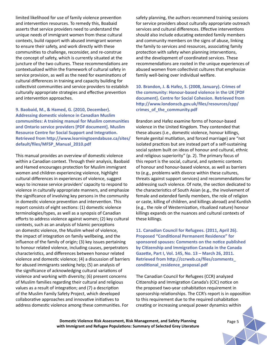limited likelihood for use of family violence prevention and intervention resources. To remedy this, Boabaid asserts that service providers need to understand the unique needs of immigrant women from these cultural contexts, build rapport with abused immigrant women to ensure their safety, and work directly with these communities to challenge, reconsider, and re-construe the concept of safety, which is currently situated at the juncture of the two cultures. These recommendations are contextualized within the framework of cultural safety in service provision, as well as the need for examinations of cultural differences in training and capacity building for collectivist communities and service providers to establish culturally appropriate strategies and effective prevention and intervention approaches.

**9. Baobaid, M., & Hamed, G. (2010, December). Addressing domestic violence in Canadian Muslim communities: A training manual for Muslim communities and Ontario service providers [PDF document]. Muslim Resource Centre for Social Support and Integration. Retrieved from http://www.learningtoendabuse.ca/sites/ default/files/MFSP\_Manual\_2010.pdf**

This manual provides an overview of domestic violence within a Canadian context. Through their analysis, Baobaid and Hamed encourages protection for Muslim immigrant women and children experiencing violence, highlight cultural differences in experiences of violence, suggest ways to increase service providers' capacity to respond to violence in culturally appropriate manners, and emphasize the significance of involving key persons in the community in domestic violence prevention and intervention. This report consists of eight sections: (1) domestic violence terminologies/types, as well as a synopsis of Canadian efforts to address violence against women; (2) key cultural contexts, such as an analysis of Islamic perceptions on domestic violence, the Muslim wheel of violence, the impact of integration on family wellbeing, and the influence of the family of origin; (3) key issues pertaining to honour related violence, including causes, perpetrators characteristics, and differences between honour related violence and domestic violence; (4) a discussion of barriers for abused immigrants seeking help; (5) an analysis of the significance of acknowledging cultural variations of violence and working with diversity; (6) present concerns of Muslim families regarding their cultural and religious values as a result of integration; and (7) a description of the Muslim Family Safety Project, which developed collaborative approaches and innovative initiatives to address domestic violence among these communities. For

safety planning, the authors recommend training sessions for service providers about culturally appropriate outreach services and cultural differences. Effective interventions should also include educating extended family members and community members on the signs of abuse, linking the family to services and resources, associating family protection with safety when planning interventions, and the development of coordinated services. These recommendations are rooted in the unique experiences of abused women from collectivist cultures that emphasize family well-being over individual welfare.

**10. Brandon, J. & Hafez, S. (2008, January). Crimes of the community: Honour-based violence in the UK [PDF document]. Centre for Social Cohesion. Retrieved from http://www.londonscb.gov.uk/files/resources/cpp/ crimes\_of\_the\_community.pdf**

Brandon and Hafez examine forms of honour-based violence in the United Kingdom. They contended that these abuses (i.e., domestic violence, honour killings, female genital mutilation, and forced marriage) are "not isolated practices but are instead part of a self-sustaining social system built on ideas of honour and cultural, ethnic and religious superiority" (p. 2). The primary focus of this report is the social, cultural, and systemic contexts of honour and honour-based violence, as well as barriers to (e.g., problems with divorce within these cultures, threats against support services) and recommendations for addressing such violence. Of note, the section dedicated to the characteristics of South Asian (e.g., the involvement of female and extended family members, the role of religion or caste, killing of children, and killings abroad) and Kurdish (e.g., the role of Westernization, ritualized nature) honour killings expands on the nuances and cultural contexts of these killings.

**11. Canadian Council for Refugees. (2011, April 26). Proposed "Conditional Permanent Residence" for sponsored spouses: Comments on the notice published by Citizenship and Immigration Canada in the Canada Gazette, Part I, Vol. 145, No. 13 – March 26, 2011. Retrieved from http://ccrweb.ca/files/comments\_ conditional\_residence\_proposal.pdf** 

The Canadian Council for Refugees (CCR) analyzed Citizenship and Immigration Canada's (CIC) notice on the proposed two-year cohabitation requirement in sponsorship relationships. The CCR's report is in opposition to this requirement due to the required cohabitation creating or increasing unequal power dynamics within

**Domestic Violence Risk Assessment, Risk Management, and Safety Planning** *Page 5* **with Immigrant and Refugee Populations: Summary of Selected Grey Literature**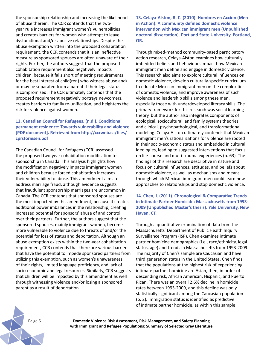the sponsorship relationship and increasing the likelihood of abuse therein. The CCR contends that the twoyear rule increases immigrant women's vulnerabilities and creates barriers for women who attempt to leave dysfunctional and/or abusive relationships. Despite the abuse exemption written into the proposed cohabitation requirement, the CCR contends that it is an ineffective measure as sponsored spouses are often unaware of their rights. Further, the authors suggest that the proposed cohabitation requirement also negatively impacts children, because it falls short of meeting requirements for the best interest of child(ren) who witness abuse and/ or may be separated from a parent if their legal status is compromised. The CCR ultimately contends that the proposed requirement negatively portrays newcomers, creates barriers to family re-unification, and heightens the risk for violence against women.

# **12. Canadian Council for Refugees. (n.d.). Conditional permanent residence: Towards vulnerability and violence [PDF document]. Retrieved from http://ccrweb.ca/files/ cprstoriesen.pdf**

The Canadian Council for Refugees (CCR) assessed the proposed two-year cohabitation modification to sponsorship in Canada. This analysis highlights how the modification negatively impacts immigrant women and children because forced cohabitation increases their vulnerability to abuse. This amendment aims to address marriage fraud, although evidence suggests that fraudulent sponsorship marriages are uncommon in Canada. The CCR contends that sponsored spouses are the most impacted by this amendment, because it creates additional power imbalances in the relationship, creating increased potential for sponsors' abuse of and control over their partners. Further, the authors suggest that the sponsored spouses, mainly immigrant women, become more vulnerable to violence due to threats of and/or the potential for loss of status and deportation. Although an abuse exemption exists within the two-year cohabitation requirement, CCR contends that there are various barriers that have the potential to impede sponsored partners from utilizing this exemption, such as women's unawareness of their rights, limited language proficiency, and lack of socio-economic and legal resources. Similarly, CCR suggests that children will be impacted by this amendment as well through witnessing violence and/or losing a sponsored parent as a result of deportation.

**13. Celaya-Alston, R. C. (2010). Hombres en Accion (Men in Action): A community defined domestic violence intervention with Mexican immigrant men (Unpublished doctoral dissertation). Portland State University, Portland, OR.**

Through mixed-method community-based participatory action research, Celaya-Alston examines how culturally imbedded beliefs and behaviours impact how Mexican immigrant men define and engage in domestic violence. This research also aims to explore cultural influences on domestic violence, develop culturally-specific curriculum to educate Mexican immigrant men on the complexities of domestic violence, and improve awareness of such violence and leadership skills among these men, especially those with underdeveloped literacy skills. The primary framework for this research was social learning theory, but the author also integrates components of ecological, sociocultural, and family systems theories and clinical, psychopathological, and transformational modeling. Celaya-Alston ultimately contends that Mexican immigrant men's rationalizations for violence are rooted in their socio-economic status and embedded in cultural ideologies, leading to suggested interventions that focus on life-course and multi-trauma experiences (p. 63). The findings of this research are descriptive in nature and focus on cultural influences, attitudes, and beliefs about domestic violence, as well as mechanisms and means through which Mexican immigrant men could learn new approaches to relationships and stop domestic violence.

**14. Chen, I. (2011). Chronological & Comparative Trends in Intimate Partner Homicide: Massachusetts from 1993- 2009 (Unpublished Master's thesis). Yale University, New Haven, CT.**

Through a quantitative examination of data from the Massachusetts' Department of Public Health Inquiry Surveillance Program (ISP), Chen examines intimate partner homicide demographics (i.e., race/ethnicity, legal status, age) and trends in Massachusetts from 1993-2009. The majority of Chen's sample are Caucasian and have third generation status in the United States. Chen finds that the populations at the highest risk of experiencing intimate partner homicide are Asian, then, in order of descending risk, African American, Hispanic, and Puerto Rican. There was an overall 2.6% decline in homicide rates between 1993-2009, and this decline was only statistically significant among the Caucasian population (p. 2). Immigration status is identified as predictive of intimate partner homicide, as within this sample

Pa ge 6 **Domestic Violence Risk Assessment, Risk Management, and Safety Planning with Immigrant and Refugee Populations: Summary of Selected Grey Literature**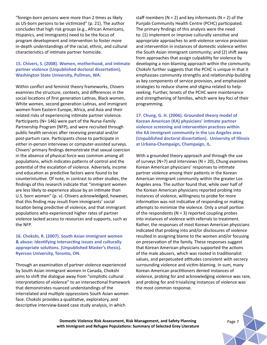"foreign-born persons were more than 2 times as likely as US-born persons to be victimized" (p. 21). The author concludes that high risk groups (e.g., African Americans, Hispanics, and immigrants) need to be the focus of program development and intervention to foster more in-depth understandings of the racial, ethnic, and cultural characteristics of intimate partner homicide.

## **15. Chivers, S. (2008). Women, motherhood, and intimate partner violence (Unpublished doctoral dissertation), Washington State University, Pullman, WA.**

Within conflict and feminist theory frameworks, Chivers examines the structure, contexts, and differences in the social locations of first generation Latinas, Black women, White women, second generation Latinas, and immigrant women from Eastern Europe, Africa, and Asia and their related risks of experiencing intimate partner violence. Participants (N= 146) were part of the Nurse-Family Partnership Program (NFP), and were recruited through public health services after receiving prenatal and/or post-partum care. Participants chose to participate in either in-person interviews or computer-assisted surveys. Chivers' primary findings demonstrate that sexual coercion in the absence of physical force was common among all populations, which indicates patterns of control and the potential of the escalation of violence. Adversely, income and education as predictive factors were found to be counterintuitive. Of note, in contrast to other studies, the findings of this research indicate that "immigrant women are less likely to experience abuse by an intimate than U.S. born women" (p. v). Chivers acknowledged, however, that this finding may result from immigrants' social location being predictive of violence, and that immigrant populations who experienced higher rates of partner violence lacked access to resources and supports, such as the NFP.

## **16. Chokshi, R. (2007). South Asian immigrant women & abuse: Identifying intersecting issues and culturally appropriate solutions. (Unpublished Master's thesis). Ryerson University, Toronto, ON.**

Through an examination of partner violence experienced by South Asian immigrant women in Canada, Chokshi aims to shift the dialogue away from "simplistic cultural interpretations of violence" to an intersectional framework that demonstrates nuanced understandings of the interrelated and multiple oppressions South Asian women face. Chokshi provides a qualitative, exploratory, and descriptive interview-based case study analysis, in which

staff members ( $N = 2$ ) and key informants ( $N = 2$ ) of the Punjabi Community Health Centre (PCHC) participated. The primary findings of this analysis were the need to: (1) implement or improve culturally sensitive and appropriate approaches to anti-violence service provision and intervention in instances of domestic violence within the South Asian immigrant community; and (2) shift away from approaches that assign culpability for violence by developing a non-blaming approach within the community. Chokshi further suggests that the PCHC is unique in that it emphasizes community strengths and relationship-building as key components of service provision, and emphasized strategies to reduce shame and stigma related to helpseeking. Further, tenets of the PCHC were maintenance and strengthening of families, which were key foci of their programming.

**17. Chung, G. H. (2006). Grounded theory model of Korean American (KA) physicians' intimate partner violence screening and intervention practices within the KA immigrant community in the Los Angeles area (Unpublished doctoral dissertation). University of Illinois at Urbana-Champaign, Champaign, IL.**

With a grounded theory approach and through the use of surveys (N=7) and interviews (N = 20), Chung examines Korean American physicians' responses to intimate partner violence among their patients in the Korean American immigrant community within the greater Los Angeles area. The author found that, while over half of the Korean American physicians reported probing into instances of violence, willingness to probe for more information was not indicative of responding or making attempts to minimize the violence. Only a small portion of the respondents ( $N = 3$ ) reported coupling probes into instances of violence with referrals to treatment. Rather, the responses of most Korean American physicians indicated that probing into and/or disclosures of violence resulted in assigning blame to the women and/or focusing on preservation of the family. These responses suggest that Korean American physicians supported the actions of the male abusers, which was rooted in traditionalist values, and perpetuated attitudes consistent with secrecy surrounding violence and victim-blaming. In sum, many Korean American practitioners denied instances of violence, probing for and acknowledging violence was rare, and probing for and trivializing instances of violence was the most common response.

**Domestic Violence Risk Assessment, Risk Management, and Safety Planning with Immigrant and Refugee Populations: Summary of Selected Grey Literature**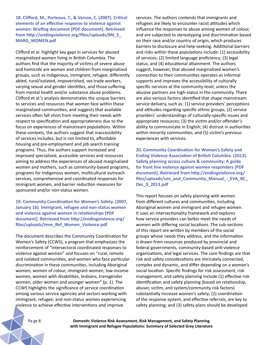**18. Clifford, M., Porteous, T., & Varcoe, C. (2007). Critical elements of an effective response to violence against women: Briefing document [PDF document]. Retrieved from http://endingviolence.org/files/uploads/BN\_5\_ MARG\_WOMEN.pdf**

Clifford et al. highlight key gaps in services for abused marginalized women living in British Columbia. The authors find that the majority of victims of severe abuse and homicide are women and children from marginalized groups, such as Indigenous, immigrant, refugee, differently abled, rural/isolated, impoverished, sex trade workers, varying sexual and gender identities, and those suffering from mental health and/or substance abuse problems. Clifford et al.'s analysis demonstrates the unique barriers to services and resources that women face within these marginalized communities, and suggests that available services often fall short from meeting their needs with respect to specification and appropriateness due to the focus on experiences of mainstream populations. Within these contexts, the authors suggest that inaccessibility of services includes, but is not limited to, affordable housing and pre-employment and job search training programs. Thus, the authors support increased and improved specialized, accessible services and resources aiming to address the experiences of abused marginalized women and mothers, such as community-based programs, programs for Indigenous women, multicultural outreach services, comprehensive and coordinated responses for immigrant women, and barrier reduction measures for sponsored and/or non-status women.

## **19. Community Coordination for Women's Safety. (2007, January 16). Immigrant, refugee and non-status women and violence against women in relationships [PDF document]. Retrieved from http://endingviolence.org/ files/uploads/Imm\_Ref\_Women\_Violence.pdf**

The document describes the Community Coordination for Women's Safety (CCWS), a program that emphasizes the reinforcement of "intersectoral coordinated responses to violence against women" and focuses on "rural, remote and isolated communities, and women who face particular discrimination in these communities, including Aboriginal women, women of colour, immigrant women, low-income women, women with disabilities, lesbians, transgender women, older women and younger women" (p. 1). The CCWS highlights the significance of service coordination among various service agencies and sectors working with immigrant, refugee, and non-status women experiencing violence to achieve effective interventions and improve

services. The authors contends that immigrants and refugees are likely to encounter racist attitudes which influence the responses to abuse among women of colour, and are subjected to stereotyping and discrimination based on their race and/or country of origin, which produces barriers to disclosure and help-seeking. Additional barriers and risks within these populations include: (1) accessibility of services; (2) limited language proficiency; (3) legal status; and (4) educational attainment. The authors suggest, however, that abused marginalized women's connection to their communities operates as informal supports and improves the accessibility of culturally specific-services at the community-level, unless the abusive partners are high-status in the community. There are also various factors identified that shape mainstream service delivery, such as: (1) service providers' perceptions and attitudes regarding specific ethnic groups; (2) service providers' understandings of culturally-specific issues and appropriate resources; (3) the victim and/or offender's ability to communicate in English; (4) distrust in authorities within minority communities; and (5) victim's previous experiences with services.

**20. Community Coordination for Women's Safety and Ending Violence Association of British Columbia. (2013). Safety planning across culture & community: A guide for front line violence against women responders [PDF document]. Retrieved from http://endingviolence.org/ files/uploads/ure\_and\_Community\_Manual\_-\_EVA\_BC\_ Dec\_9\_2013.pdf** 

This report focuses on safety planning with women from different cultures and communities, including Aboriginal women and immigrant and refugee women. It uses an intersectionality framework and explores how service providers can better meet the needs of women with differing social locations. The sub-sections of this report are written by members of the social groups whose needs they address, and the information is drawn from resources produced by provincial and federal governments, community-based anti-violence organizations, and legal services. The core findings are that risk and safety considerations are intricately connected, complex and dynamic, and differ depending on a woman's social location. Specific findings for risk assessment, risk management, and safety planning include (1) effective risk identification and safety planning (based on relationship, abuser, victim, and system/community risk factors) substantially increase women's safety; (2) coordination of the response system, and effective referrals, are key to safety planning; and (3) safety plans should be developed

Pa ge 8 **Domestic Violence Risk Assessment, Risk Management, and Safety Planning with Immigrant and Refugee Populations: Summary of Selected Grey Literature**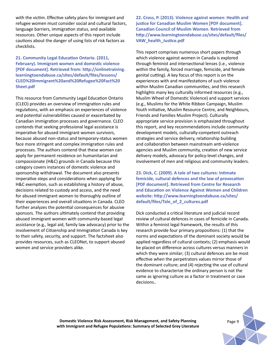with the victim. Effective safety plans for immigrant and refugee women must consider social and cultural factors, language barriers, immigration status, and available resources. Other unique aspects of this report include cautions about the danger of using lists of risk factors as checklists.

**21. Community Legal Education Ontario. (2011, February). Immigrant women and domestic violence [PDF document]. Retrieved from: http://onlinetraining. learningtoendabuse.ca/sites/default/files/lessons/ CLEO%20Immigrant%20and%20Refugee%20Fact%20 Sheet.pdf** 

This resource from Community Legal Education Ontario (CLEO) provides an overview of immigration rules and regulations, with an emphasis on experiences of violence and potential vulnerabilities caused or exacerbated by Canadian immigration processes and governance. CLEO contends that seeking professional legal assistance is imperative for abused immigrant women survivors, because abused non-status and temporary-status women face more stringent and complex immigration rules and processes. The authors contend that these women can apply for permanent residence on humanitarian and compassionate (H&C) grounds in Canada because this category covers instances of domestic violence and sponsorship withdrawal. The document also presents imperative steps and considerations when applying for H&C exemption, such as establishing a history of abuse, decisions related to custody and access, and the need for abused immigrant women to thoroughly outline of their experiences and overall situations in Canada. CLEO further analyzes the potential consequences for abusive sponsors. The authors ultimately contend that providing abused immigrant women with community-based legal assistance (e.g., legal aid, family law advocacy) prior to the involvement of Citizenship and Immigration Canada is key to their safety, security, and support. The factsheet also provides resources, such as CLEONet, to support abused women and service providers alike.

**22. Cross, P. (2013). Violence against women: Health and justice for Canadian Muslim Women [PDF document]. Canadian Council of Muslim Women. Retrieved from http://www.learningtoendabuse.ca/sites/default/files/ VAW\_health\_Justice.pdf**

This report comprises numerous short papers through which violence against women in Canada is explored through feminist and intersectional lenses (i.e., violence within the family, forced marriage, femicide, and female genital cutting). A key focus of this report is on the experiences with and manifestations of such violence within Muslim Canadian communities, and this research highlights many key culturally informed resources (e.g., Muslim Wheel of Domestic Violence) and support services (e.g., Muslims for the White Ribbon Campaign, Muslim Youth initiative, Muslim Resource Centre, and Neighbours, Friends and Families Muslim Project). Culturally appropriate service provision is emphasized throughout this report, and key recommendations include community development models, culturally-competent outreach strategies and service delivery, relationship building and collaboration between mainstream anti-violence agencies and Muslim community, creation of new service delivery models, advocacy for policy-level changes, and involvement of men and religious and community leaders.

**23. Dick, C. (2009). A tale of two cultures: Intimate femicide, cultural defences and the law of provocation [PDF document]. Retrieved from Centre for Research and Education on Violence Against Women and Children website: http://www.learningtoendabuse.ca/sites/ default/files/Tale\_of\_2\_cultures.pdf**

Dick conducted a critical literature and judicial record review of cultural defences in cases of femicide in Canada. Within a feminist legal framework, the results of this research provide four primary propositions: (1) that the norms and expectations of the dominant society would be applied regardless of cultural contexts; (2) emphasis would be placed on difference across cultures versus manners in which they were similar; (3) cultural defences are be most effective when the perpetrators values mirror those of the dominant culture; and (4) rejecting the use of cultural evidence to characterize the ordinary person is not the same as ignoring culture as a factor in treatment or case decisions..

**Domestic Violence Risk Assessment, Risk Management, and Safety Planning with Immigrant and Refugee Populations: Summary of Selected Grey Literature**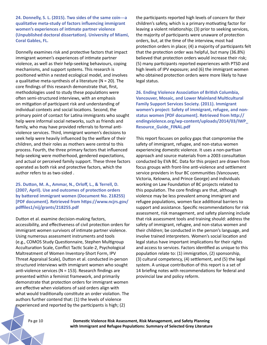**24. Donnelly, S. L. (2015). Two sides of the same coin---a qualitative meta-study of factors influencing immigrant women's experiences of intimate partner violence (Unpublished doctoral dissertation). University of Miami, Coral Gables, FL.**

Donnelly examines risk and protective factors that impact immigrant women's experiences of intimate partner violence, as well as their help-seeking behaviours, coping mechanisms, and support systems. This research is positioned within a nested ecological model, and involves a qualitative meta-synthesis of a literature ( $N = 20$ ). The core findings of this research demonstrate that, first, methodologies used to study these populations were often semi-structured interviews, with an emphasis on mitigation of participant risk and understanding of individual contexts and social locations. Second, the primary point of contact for Latina immigrants who sought help were informal social networks, such as friends and family, who may have provided referrals to formal antiviolence services. Third, immigrant women's decisions to seek help were heavily influenced by the welfare of their children, and their roles as mothers were central to this process. Fourth, the three primary factors that influenced help-seeking were motherhood, gendered expectations, and actual or perceived family support. These three factors operated as both risk and protective factors, which the author refers to as two-sided .

**25. Dutton, M. A., Ammar, N., Orloff, L., & Terrell, D. (2007, April). Use and outcomes of protection orders by battered immigrant women (Document No. 218255) [PDF document]. Retrieved from https://www.ncjrs.gov/ pdffiles1/nij/grants/218255.pdf**

Dutton et al. examine decision-making factors, accessibility, and effectiveness of civil protection orders for immigrant women survivors of intimate partner violence. Using numerous assessment instruments and tools (e.g., COMOS Study Questionnaire, Stephen Multigroup Acculturation Scale, Conflict Tactic Scale-2, Psychological Maltreatment of Women Inventory-Short Form, IPV Threat Appraisal Scale), Dutton et al. conducted in-person structured interviews with immigrant women who sought anti-violence services (N = 153). Research findings are presented within a feminist framework, and primarily demonstrate that protection orders for immigrant women are effective when violations of said orders align with what would traditionally constitute an order violation. The authors further contend that: (1) the levels of violence experienced and reported by the participants is high; (2)

the participants reported high levels of concern for their children's safety, which is a primary motivating factor for leaving a violent relationship; (3) prior to seeking services, the majority of participants were unaware of protection orders, but, at the time of the interview, most had protection orders in place; (4) a majority of participants felt that the protection order was helpful, but many (36.8%) believed that protection orders would increase their risk; (5) many participants reported experiences with PTSD and high levels of IPV exposure; and (6) the immigrant women who obtained protection orders were more likely to have legal status.

**26. Ending Violence Association of British Columbia, Vancouver, Mosaic, and Lower Mainland Multicultural Family Support Services Society. (2011). Immigrant women's project: Safety of immigrant, refugee, and nonstatus women [PDF document]. Retrieved from http:// endingviolence.org/wp-content/uploads/2014/03/IWP\_ Resource\_Guide\_FINAL.pdf**

This report focuses on policy gaps that compromise the safety of immigrant, refugee, and non-status women experiencing domestic violence. It uses a non-partisan approach and source materials from a 2003 consultation conducted by EVA BC. Data for this project are drawn from focus groups with front-line anti-violence and settlement service providers in four BC communities (Vancouver, Victoria, Kelowna, and Prince George) and individuals working on Law Foundation of BC projects related to this population. The core findings are that, although violence may be less prevalent among immigrant and refugee populations, women face additional barriers to support and assistance. Specific recommendations for risk assessment, risk management, and safety planning include that risk assessment tools and training should: address the safety of immigrant, refugee, and non-status women and their children; be conducted in the person's language, and involve trained interpreters. Women's social location and legal status have important implications for their rights and access to services. Factors identified as unique to this population relate to: (1) immigration, (2) sponsorship, (3) cultural competency, (4) settlement, and (5) the legal system. A unique contribution of this report is a set of 14 briefing notes with recommendations for federal and provincial law and policy reform.

Pa ge 10 **Domestic Violence Risk Assessment, Risk Management, and Safety Planning with Immigrant and Refugee Populations: Summary of Selected Grey Literature**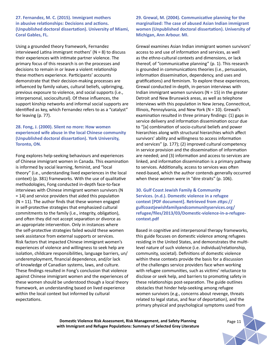**27. Fernandez, M. C. (2015). Immigrant mothers in abusive relationships: Decisions and actions. (Unpublished doctoral dissertation). University of Miami, Coral Gables, FL.**

Using a grounded theory framework, Fernandez interviewed Latina immigrant mothers' ( $N = 8$ ) to discuss their experiences with intimate partner violence. The primary focus of this research is on the processes and decisions to remain in or leave a violent relationship these mothers experience. Participants' accounts demonstrate that their decision-making processes are influenced by family values, cultural beliefs, upbringing, previous exposure to violence, and social supports (i.e., interpersonal, sociocultural). Of these influences, the support kinship networks and informal social supports are identified as key, which Fernandez refers to as a "catalyst" for leaving (p. 77).

**28. Fong, J. (2000). Silent no more: How women experienced wife abuse in the local Chinese community (Unpublished doctoral dissertation). York University, Toronto, ON.** 

Fong explores help-seeking behaviours and experiences of Chinese immigrant women in Canada. This examination is informed by social learning, feminist, and "local theory" (i.e., understanding lived experiences in the local context) (p. 381) frameworks. With the use of qualitative methodologies, Fong conducted in-depth face-to-face interviews with Chinese immigrant women survivors (N = 14) and service providers that aided this population  $(N = 11)$ . The author finds that these women engaged in self-protective strategies that emphasized cultural commitments to the family (i.e., integrity, obligation), and often they did not accept separation or divorce as an appropriate intervention. Only in instances where the self-protective strategies failed would these women seek assistance from external supports or services. Risk factors that impacted Chinese immigrant women's experiences of violence and willingness to seek help are isolation, childcare responsibilities, language barriers, un/ underemployment, financial dependence, and/or lack of knowledge of Canadian systems, laws, and culture. These findings resulted in Fong's conclusion that violence against Chinese immigrant women and the experiences of these women should be understood though a local theory framework, an understanding based on lived experience within the local context but informed by cultural expectations.

**29. Grewal, M. (2004). Communicative planning for the marginalized: The case of abused Asian Indian immigrant women (Unpublished doctoral dissertation). University of Michigan, Ann Arbour. MI.**

Grewal examines Asian Indian immigrant women survivors' access to and use of information and services, as well as the ethno-cultural contexts and dimensions, or lack thereof, of "communicative planning" (p. 1). This research is grounded in communications theories (i.e., persuasion, information dissemination, dependency, and uses and gratifications) and feminism. To explore these experiences, Grewal conducted in-depth, in-person interviews with Indian immigrant women survivors ( $N = 15$ ) in the greater Detroit and New Brunswick areas, as well as telephone interviews with this population in New Jersey, Connecticut, Illinois, Pennsylvania, and New York (N = 10). Grewal's examination resulted in three primary findings: (1) gaps in service delivery and information dissemination occur due to "[a] combination of socio-cultural beliefs and power hierarchies along with structural hierarchies which affect survivors' ability and willingness to access information and services" (p. 177); (2) improved cultural competency in service provision and the dissemination of information are needed; and (3) information and access to services are linked, and information dissemination is a primary pathway to services. Additionally, access to services was often need-based, which the author contends generally occurred when these women were in "dire straits" (p. 106).

**30. Gulf Coast Jewish Family & Community Services. (n.d.). Domestic violence in a refugee context [PDF document]. Retrieved from zttps:// gulfcoastjewishfamilyandcommunityservices.org/ refugee/files/2013/03/Domestic-violence-in-a-refugeecontext.pdf** 

Based in cognitive and interpersonal therapy frameworks, this guide focuses on domestic violence among refugees residing in the United States, and demonstrates the multilevel nature of such violence (i.e. individual/relationship, community, societal). Definitions of domestic violence within these contexts provide the basis for a discussion of the challenges service providers face when working with refugee communities, such as victims' reluctance to disclose or seek help, and barriers to promoting safety in these relationships post-separation. The guide outlines obstacles that hinder help-seeking among refugee women survivors (e.g., concerns about revenge, threats related to legal status, and fear of deportation), and the primary physical and psychological symptoms used from

**Domestic Violence Risk Assessment, Risk Management, and Safety Planning** *Page 11* **with Immigrant and Refugee Populations: Summary of Selected Grey Literature**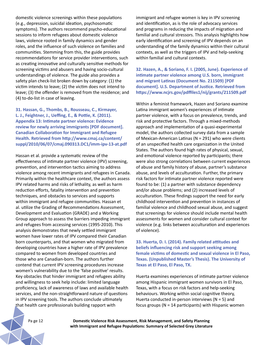domestic violence screenings within these populations (e.g., depression, suicidal ideation, psychosomatic symptoms). The authors recommend psycho-educational sessions to inform refugees about domestic violence laws, violence rooted in family dynamics and gender roles, and the influence of such violence on families and communities. Stemming from this, the guide provides recommendations for service provider interventions, such as creating innovative and culturally sensitive methods for screening victims and abusers and having socio-cultural understandings of violence. The guide also provides a safety plan check-list broken down by category: (1) the victim intends to leave; (2) the victim does not intend to leave; (3) the offender is removed from the residence; and (4) to-do-list in case of leaving.

**31. Hassan, G., Thombs, B., Rousseau, C., Kirmayer, L. J., Feightner, J., Ueffing, E., & Pottie, K. (2011). Appendix 13: Intimate partner violence: Evidence review for newly arriving immigrants [PDF document]. Canadian Collaboration for Immigrant and Refugee Health. Retrieved from http://www.cmaj.ca/content/ suppl/2010/06/07/cmaj.090313.DC1/imm-ipv-13-at.pdf**

Hassan et al. provide a systematic review of the effectiveness of intimate partner violence (IPV) screening, prevention, and intervention tactics aiming to address violence among recent immigrants and refugees in Canada. Primarily within the healthcare context, the authors assess IPV related harms and risks of lethality, as well as harm reduction efforts, fatality intervention and prevention techniques, and obstacles to services and supports within immigrant and refugee communities. Hassan et al. utilize the Grading of Recommendations Assessment, Development and Evaluation (GRADE) and a Working Group approach to assess the barriers impeding immigrant and refugees from accessing services (1995-2010). This analysis demonstrates that newly settled immigrant women have lower rates of IPV compared their Canadian born counterparts, and that women who migrated from developing countries have a higher rate of IPV prevalence compared to women from developed countries and those who are Canadian-born. The authors further contend that current IPV screening procedures increase women's vulnerability due to the 'false positive' results. Key obstacles that hinder immigrant and refugees ability and willingness to seek help include: limited language proficiency, lack of awareness of laws and available health services, and the non-straightforward nature of questions in IPV screening tools. The authors conclude ultimately that health care professionals building rapport with

immigrant and refugee women is key in IPV screening and identification, as is the role of advocacy services and programs in reducing the impacts of migration and familial and cultural stressors. This analysis highlights how early identification and screening of IPV depends on an understanding of the family dynamics within their cultural contexts, as well as the triggers of IPV and help-seeking within familial and cultural contexts.

**32. Hazen, A., & Soriano, F. I. (2005, June). Experience of intimate partner violence among U.S. born, immigrant and migrant Latinas (Document No. 211509) [PDF document]. U.S. Department of Justice. Retrieved from https://www.ncjrs.gov/pdffiles1/nij/grants/211509.pdf**

Within a feminist framework, Hazen and Soriano examine Latina immigrant women's experiences of intimate partner violence, with a focus on prevalence, trends, and risk and protective factors. Through a mixed-methods approach and implementation of a quasi-experimental model, the authors collected survey data from a sample of Mexican-American Latinas (N = 291) who were clients of an unspecified health care organization in the United States. The authors found high rates of physical, sexual, and emotional violence reported by participants; there were also strong correlations between current experiences of abuse and family history of abuse, partner's substance abuse, and levels of acculturation. Further, the primary risk factors for intimate partner violence reported were found to be: (1) a partner with substance dependency and/or abuse problems; and (2) increased levels of acculturation. These findings support the need for early childhood intervention and prevention in instances of familial violence and childhood sexual abuse, and suggest that screenings for violence should include mental health assessments for women and consider cultural context for violence (e.g. links between acculturation and experiences of violence).

**33. Huerta, D. I. (2014). Family related attitudes and beliefs influencing risk and support seeking among female victims of domestic and sexual violence in El Paso, Texas. (Unpublished Master's Thesis). The University of Texas at El Paso, El Paso, TX.** 

Huerta examines experiences of intimate partner violence among Hispanic immigrant women survivors in El Paso, Texas, with a focus on risk factors and help-seeking behaviours. Working within social cognitive theory, Huerta conducted in-person interviews ( $N = 5$ ) and focus groups (N = 14 participants) with Hispanic women

Pa ge 12 **Domestic Violence Risk Assessment, Risk Management, and Safety Planning with Immigrant and Refugee Populations: Summary of Selected Grey Literature**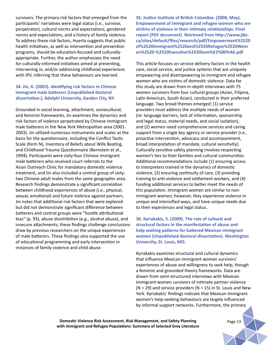survivors. The primary risk factors that emerged from the participants' narratives were legal status (i.e., survivor, perpetrator), cultural norms and expectations, gendered norms and expectations, and a history of family violence. To address these risk factors, Huerta suggests that public health initiatives, as well as intervention and prevention programs, should be education-focused and culturallyappropriate. Further, the author emphasizes the need for culturally-informed initiatives aimed at preventing, intervening in, and/or addressing childhood experiences with IPV, inferring that these behaviours are learned.

#### **34. Jin, X. (2003). Identifying risk factors in Chinese immigrant male batterers (Unpublished doctoral dissertation.), Adelphi University, Garden City, NY.**

Grounded in social learning, attachment, sociocultural, and feminist frameworks, Jin examines the dynamics and risk factors of violence perpetrated by Chinese immigrant male batterers in the New York Metropolitan area (2001- 2003). Jin utilized numerous instruments and scales as the basis for the questionnaire, including the Conflict Tactic Scale (form N), Inventory of Beliefs about Wife Beating, and Childhood Trauma Questionnaire (Bernstein et al., 1994). Participants were sixty-four Chinese immigrant male batterers who received court referrals to the Asian Outreach Clinic for mandatory domestic violence treatment, and Jin also included a control group of sixtytwo Chinese adult males from the same geographic area. Research findings demonstrate a significant correlation between childhood experiences of abuse (i.e., physical, sexual, emotional) and future violence against partners. Jin notes that additional risk factors that were explored but did not demonstrate significant difference between batterers and control groups were "hostile attributional bias" (p. 93), abuse disinhibition (e.g., alcohol abuse), and insecure attachments; these findings challenge conclusions draw by previous researchers on the unique experiences of male batterers. These findings also supported the use of educational programming and early intervention in instances of family violence and child abuse.

**35. Justice Institute of British Columbia. (2008, May). Empowerment of immigrant and refugee women who are victims of violence in their intimate relationships: Final report [PDF document]. Retrieved from http://www.jibc. ca/sites/default/files/research/pdf/Empowerment%2520 of%2520Immigrant%2520and%2520Refugee%2520Wom en%2520-%2520Executive%2520Sum%E2%80%A6.pdf**

This article focuses on service delivery factors in the health care, social service, and justice systems that are uniquely empowering and disempowering to immigrant and refugee women who are victims of domestic violence. Data for this study are drawn from in-depth interviews with 75 women survivors from four cultural groups (Asian, Filipina, Latin American, South Asian), conducted in their preferred language. Two broad themes emerged: (1) service providers must address the multiple needs of women (re: language barriers, lack of information, sponsorship and legal status, material needs, and social isolation), and (2) women need comprehensive services and caring support from a single key agency or service provider (i.e., proactive intervention, advocacy and accompaniment, broad interpretation of mandate, cultural sensitivity). Culturally sensitive safety planning involves respecting women's ties to their families and cultural communities. Additional recommendations include (1) ensuring access to interpreters trained in the dynamics of domestic violence, (2) ensuring continuity of care, (3) providing training to anti-violence and settlement workers, and (4) funding additional services to better meet the needs of this population. Immigrant women are similar to nonimmigrant women; however, they experience violence in unique and intensified ways, and have unique needs due to their experiences and legal status.

**36. Kyriakakis, S. (2009). The role of cultural and structural factors in the manifestation of abuse and help seeking patterns for battered Mexican immigrant women (Unpublished doctoral dissertation). Washington University, St. Louis, MO.** 

Kyriakakis examines structural and cultural dynamics that influence Mexican immigrant women survivors' experiences of abuse and willingness to seek help, though a feminist and grounded theory frameworks. Data are drawn from semi-structured interviews with Mexican immigrant women survivors of intimate partner violence  $(N = 29)$  and service providers  $(N = 15)$  in St. Louis and New York. Kyriakakis' findings indicate that Mexican immigrant women's help-seeking behaviours are largely influenced by informal support networks. Furthermore, the primary

**Domestic Violence Risk Assessment, Risk Management, and Safety Planning** *Page 13* **with Immigrant and Refugee Populations: Summary of Selected Grey Literature**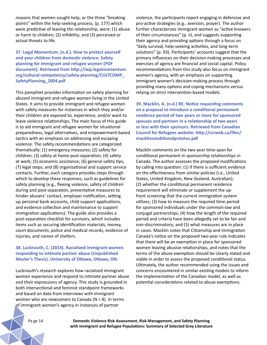reasons that women sought help, or the three "breaking points" within the help-seeking process, (p. 177) which were predictive of leaving the relationship, were: (1) abuse or harm to children; (2) infidelity; and (3) perceived or actual threats to life.

**37. Legal Momentum. (n.d.). How to protect yourself and your children from domestic violence: Safety planning for immigrant and refugee women [PDF document]. Retrieved from http://iwp.legalmomentum. org/cultural-competency/safety-planning/CULTCOMP\_ SafetyPlanning\_2004.pdf**

This pamphlet provides information on safety planning for abused immigrant and refugee women living in the United States. It aims to provide immigrant and refugee women with safety measures for instances in which they and/or their children are exposed to, experience, and/or want to leave violence relationships. The main focus of this guide is to aid immigrant and refugee women for situational preparedness, legal alternatives, and empowerment-based tactics with an emphasis on addressing and escaping violence. The safety recommendations are categorized thematically: (1) emergency measures; (2) safety for children; (3) safety at home post-separation; (4) safety at work; (5) economic assistance; (6) general safety tips; (7) legal steps; and (8) organizational and support service contacts. Further, each category provides steps through which to develop these responses, such as guidelines for safety planning (e.g., fleeing violence, safety of children during and post-separation, preventative measures to hinder abusers' contact, employer notification, setting up personal bank accounts, child support applications, and evidence collection and maintenance to support immigration applications). The guide also provides a post-separation checklist for survivors, which includes items such as securing identification materials, money, court documents, police and medical records, evidence of injuries, and names of shelters.

#### **38. Lucknauth, C. (2014). Racialized immigrant women responding to intimate partner abuse (Unpublished Master's Thesis). University of Ottawa, Ottawa, ON.**

Lucknauth's research explores how racialized immigrant women experience and respond to intimate partner abuse and their expressions of agency. This study is grounded in both intersectional and feminist standpoint frameworks and based on data from interviews with immigrant women who are newcomers to Canada ( $N = 8$ ). In terms of immigrant women's agency in instances of partner

violence, the participants report engaging in defensive and pro-active strategies (e.g., aversion, prayer). The author further characterizes immigrant women as "active knowers of their circumstances" (p. ii), and suggests supporting their agency and providing options through a focus on "daily survival, help-seeking activities, and long-term solutions" (p. 93). Participants' accounts suggest that the primary influences on their decision-making processes and exercises of agency are financial and social capital. Policy recommendations from this study also focus on immigrant women's agency, with an emphasis on supporting immigrant women's decision-making process through providing many options and coping mechanisms versus relying on strict intervention-based models.

**39. Macklin, A. (n.d.) RE: Notice requesting comments on a proposal to introduce a conditional permanent residence period of two years or more for sponsored spouses and partners in a relationship of two years or less with their sponsors. Retrieved from Canadian Council for Refugees website: http://ccrweb.ca/files/ macklinconditionalprstatus.pdf** 

Macklin comments on the two-year time-span for conditional permanent in sponsorship relationships in Canada. The author assesses the proposed modifications by calling into question: (1) if there is sufficient evidence on the effectiveness from similar policies (i.e., United States, United Kingdom, New Zealand, Australian); (2) whether the conditional permanent residence requirement will eliminate or supplement the upfront screening that the current immigration system utilizes; (3) how to measure the required time-period for sponsored individuals under the common-law and conjugal partnerships; (4) how the length of the required period and criteria have been allegedly set to be fair and non-discriminatory; and (5) what measures are in place in cases. Macklin notes that Citizenship and Immigration Canada's notice on the proposed two-year rule indicates that there will be an exemption in place for sponsored women leaving abusive relationships, and notes that the terms of the abuse exemption should be clearly stated and viable in order to assess the proposed conditional status. Ultimately, the author recommended using the issues and concerns encountered in similar existing models to inform the implementation of the Canadian model, as well as potential considerations related to abuse exemptions.

Pa ge 14 **Domestic Violence Risk Assessment, Risk Management, and Safety Planning with Immigrant and Refugee Populations: Summary of Selected Grey Literature**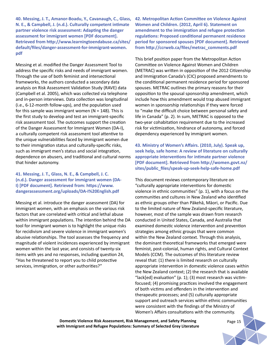**40. Messing, J. T., Amanor-Boadu, Y., Cavanaugh, C., Glass, N. E., & Campbell, J. (n.d.). Culturally competent intimate partner violence risk assessment: Adapting the danger assessment for immigrant women [PDF document]. Retrieved from http://www.learningtoendabuse.ca/sites/ default/files/danger-assessment-for-immigrant-women. pdf**

Messing et al. modified the Danger Assessment Tool to address the specific risks and needs of immigrant women. Through the use of both feminist and intersectional frameworks, the authors conducted a secondary data analysis on Risk Assessment Validation Study (RAVE) data (Campbell et al. 2005), which was collected via telephone and in-person interviews. Data collection was longitudinal (i.e., 6-12-month follow-ups), and the population used for this sample was immigrant women ( $N = 148$ ). This is the first study to develop and test an immigrant-specific risk assessment tool. The outcomes support the creation of the Danger Assessment for Immigrant Women (DA-I), a culturally competent risk assessment tool attentive to the unique vulnerabilities faced by immigrant women due to their immigration status and culturally-specific risks, such as immigrant men's status and social integration, dependence on abusers, and traditional and cultural norms that hinder autonomy.

#### **41. Messing, J. T., Glass, N. E., & Campbell, J. C. (n.d.). Danger assessment for immigrant women (DA-I) [PDF document]. Retrieved from: https://www. dangerassessment.org/uploads/DA-I%20English.pdf**

Messing et al. introduce the danger assessment (DA) for immigrant women, with an emphasis on the various risk factors that are correlated with critical and lethal abuse within immigrant populations. The intention behind the DA tool for immigrant women is to highlight the unique risks for recidivism and severe violence in immigrant women's abusive relationships. The tool assesses the frequency and magnitude of violent incidences experienced by immigrant women within the last year, and consists of twenty-six items with yes and no responses, including question 24, "Has he threatened to report you to child protective services, immigration, or other authorities?"

**42. Metropolitan Action Committee on Violence Against Women and Children. (2012, April 6). Statement on amendment to the immigration and refugee protection regulations: Proposed conditional permanent residence period for sponsored spouses [PDF document]. Retrieved from http://ccrweb.ca/files/metrac\_comments.pdf**

This brief position paper from the Metropolitan Action Committee on Violence Against Women and Children (METRAC) was written in opposition of the 2012 Citizenship and Immigration Canada's (CIC) proposed amendments to the conditional permanent residence period for sponsored spouses. METRAC outlines the primary reasons for their opposition to the spousal sponsorship amendment, which include how this amendment would trap abused immigrant women in sponsorship relationships if they were forced to "make the difficult choice between personal safety and life in Canada" (p. 2). In sum, METRAC is opposed to the two-year cohabitation requirement due to the increased risk for victimization, hindrance of autonomy, and forced dependency experienced by immigrant women.

**43. Ministry of Women's Affairs. (2010, July). Speak up, seek help, safe home: A review of literature on culturally appropriate interventions for intimate partner violence [PDF document]. Retrieved from http://women.govt.nz/ sites/public\_files/speak-up-seek-help-safe-home.pdf**

This document reviews contemporary literature on "culturally appropriate interventions for domestic violence in ethnic communities" (p. 1), with a focus on the communities and cultures in New Zealand who identified as ethnic groups other than Pākehā, Māori, or Pacific. Due to the limited nature of New Zealand-specific literature, however, most of the sample was drawn from research conducted in United States, Canada, and Australia that examined domestic violence intervention and prevention strategies among ethnic groups that were common within the New Zealand context. Through this analysis, the dominant theoretical frameworks that emerged were feminist, post-colonial, human rights, and Cultural Context Models (CCM). The outcomes of this literature review reveal that: (1) there is limited research on culturally appropriate intervention in domestic violence cases within the New Zealand context; (2) the research that is available "lack[ed] evaluation" (p. 1); (3) most research was victimfocused; (4) promising practices involved the engagement of both victims and offenders in the intervention and therapeutic processes; and (5) culturally appropriate support and outreach services within ethnic communities were consistent with the findings of the Ministry of Women's Affairs consultations with the community.

**Domestic Violence Risk Assessment, Risk Management, and Safety Planning** *Page 15* **with Immigrant and Refugee Populations: Summary of Selected Grey Literature**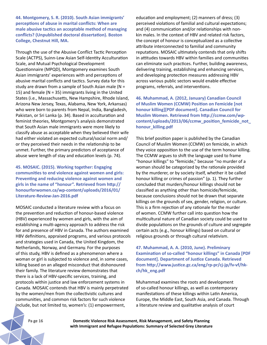**44. Montgomery, S. R. (2010). South Asian immigrants' perceptions of abuse in marital conflicts: When are male abusive tactics an acceptable method of managing conflicts? (Unpublished doctoral dissertation). Boston College, Chestnut Hill, MA.** 

Through the use of the Abusive Conflict Tactic Perception Scale (ACTPS), Suinn-Lew Asian Self-Identity Acculturation Scale, and Mutual Psychological Development Questionnaire (MPQD), Montgomery examines South Asian immigrants' experiences with and perceptions of abusive marital conflicts and tactics. Survey data for this study are drawn from a sample of South Asian male (N = 15) and female ( $N = 35$ ) immigrants living in the United States (i.e., Massachusetts, New Hampshire, Rhode Island, Arizona New Jersey, Texas, Alabama, New York, Arkansas) who were born to parents from Nepal, India, Bangladesh, Pakistan, or Sri Lanka (p. 34). Based in acculturation and feminist theories, Montgomery's analysis demonstrated that South Asian male immigrants were more likely to classify abuse as acceptable when they believed their wife had either violated an expected cultural/social norm and/ or they perceived their needs in the relationship to be unmet. Further, the primary predictors of acceptance of abuse were length of stay and education levels (p. 74).

**45. MOSAIC. (2015). Working together: Engaging communities to end violence against women and girls: Preventing and reducing violence against women and girls in the name of "honour". Retrieved from http:// honourforwomen.ca/wp-content/uploads/2016/01/ Literature-Review-Jan-2016.pdf**

MOSAIC conducted a literature review with a focus on the prevention and reduction of honour-based violence (HBV) experienced by women and girls, with the aim of establishing a multi-agency approach to address the risk for and presence of HBV in Canada. The authors examined HBV definitions, appraised programs, and various protocols and strategies used in Canada, the United Kingdom, the Netherlands, Norway, and Germany. For the purposes of this study, HBV is defined as a phenomenon where a woman or girl is subjected to violence and, in some cases, killing based on an alleged misconduct that dishonoured their family. The literature review demonstrates that there is a lack of HBV-specific services, training, and protocols within justice and law enforcement systems in Canada. MOSAIC contends that HBV is mainly perpetrated by the women/men from the collectivistic cultures and communities, and common risk factors for such violence include, but not limited to, women's: (1) empowerment,

education and employment; (2) manners of dress; (3) perceived violations of familial and cultural expectations; and (4) communication and/or relationships with nonkin males. In the context of HBV and related risk factors, the concept of honour is conceptualized as a collective attribute interconnected to familial and community reputations. MOSAIC ultimately contends that only shifts in attitudes towards HBV within families and communities can eliminate such practices. Further, building awareness, delivering training, establishing and enhancing services, and developing protection measures addressing HBV across various public sectors would enable effective programs, referrals, and interventions.

**46. Muhammad, A. (2012, January) Canadian Council of Muslim Women (CCMW) Position on Femicide [not honour killing][PDF document]. Canadian Council for Muslim Women. Retrieved from http://ccmw.com/wpcontent/uploads/2013/06/ccmw\_position\_femicide\_not\_ honour\_killing.pdf**

This brief position paper is published by the Canadian Council of Muslim Women (CCMW) on femicide, in which they voice opposition to the use of the term honour killing. The CCMW argues to shift the language used to frame "honour killings" to "femicide," because "no murder of a woman should be categorized by the rationale provided by the murderer, or by society itself, whether it be called honour killing or crimes of passion" (p. 1). They further concluded that murders/honour killings should not be classified as anything other than homicide/femicide, because conclusions should not be drawn that separate killings on the grounds of sex, gender, religion, or culture. This is a firm rejection of any rationale for the murder of women. CCMW further call into question how the multicultural nature of Canadian society could be used to divide populations on the grounds of culture and segregate certain acts (e.g., honour killings) based on cultural or religious grounds or through cultural relativism.

**47. Muhammad, A. A. (2010, June). Preliminary Examination of so-called "honour killings" in Canada [PDF document]. Department of Justice Canada. Retrieved from http://www.justice.gc.ca/eng/rp-pr/cj-jp/fv-vf/hkch/hk\_eng.pdf**

Muhammad examines the roots and development of so-called honour killings, as well as contemporary manifestations of these killings within Latin America, Europe, the Middle East, South Asia, and Canada. Through a literature review and qualitative analysis of court

Pa ge 16 **Domestic Violence Risk Assessment, Risk Management, and Safety Planning with Immigrant and Refugee Populations: Summary of Selected Grey Literature**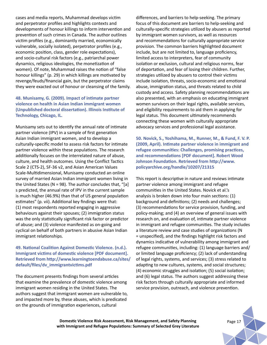cases and media reports, Muhammad develops victim and perpetrator profiles and highlights contexts and developments of honour killings to inform intervention and prevention of such crimes in Canada. The author outlines victim profiles (e.g., dominantly married, economically vulnerable, socially isolated), perpetrator profiles (e.g., economic position, class, gender role expectations), and socio-cultural risk factors (e.g., patriarchal power dynamics, religious ideologies, the monetization of women). Of note, Muhammad raises the notion of "false honour killings" (p. 29) in which killings are motivated by revenge/feuds/financial gain, but the perpetrator claims they were exacted out of honour or cleansing of the family.

## **48. Munisamy, G. (2009). Impact of intimate partner violence on health in Asian Indian immigrant women (Unpublished doctoral dissertation). Illinois Institute of Technology, Chicago, IL.**

Munisamy sets out to identify the annual rate of intimate partner violence (IPV) in a sample of first generation Asian Indian immigrant women, and to develop a culturally-specific model to assess risk factors for intimate partner violence within these populations. The research additionally focuses on the interrelated nature of abuse, culture, and health outcomes. Using the Conflict Tactics Scale 2 (CTS-2), SF-36 v2, and Asian American Values Scale-Multidimensional, Munisamy conducted an online survey of married Asian Indian immigrant women living in the United States (N = 98). The author concludes that, "[a] s predicted, the annual rate of IPV in the current sample is much higher (46.9%) than that of US general population estimates" (p. vii). Additional key findings were that: (1) most respondents reported engaging in aggressive behaviours against their spouses; (2) immigration status was the only statistically significant risk factor or predictor of abuse; and (3) violence manifested as on-going and cyclical on behalf of both partners in abusive Asian Indian immigrant relationships.

### **49. National Coalition Against Domestic Violence. (n.d.). Immigrant victims of domestic violence [PDF document]. Retrieved from http://www.learningtoendabuse.ca/sites/ default/files/dv\_immigrantvictims.pdf**

The document presents findings from several articles that examine the prevalence of domestic violence among immigrant women residing in the United States. The authors suggest that immigrant women are vulnerable to, and impacted more by, these abuses, which is predicated on the grounds of immigration experiences, cultural

differences, and barriers to help-seeking. The primary focus of this document are barriers to help-seeking and culturally-specific strategies utilized by abusers as reported by immigrant women survivors, as well as resources and recommendations for culturally appropriate service provision. The common barriers highlighted document include, but are not limited to, language proficiency, limited access to interpreters, fear of community isolation or exclusion, cultural and religious norms, fear of deportation, and fear of losing their children. Further, strategies utilized by abusers to control their victims include isolation, threats, socio-economic and emotional abuse, immigration status, and threats related to child custody and access. Safety planning recommendations are also presented, with an emphasis on educating immigrant women survivors on their legal rights, available services, and eligibility requirements to aid them in applying for legal status. This document ultimately recommends connecting these women with culturally appropriate advocacy services and professional legal assistance.

**50. Novick, S., Yoshihama, M., Runner, M., & Fund, F. V. P. (2009, April). Intimate partner violence in immigrant and refugee communities: Challenges, promising practices, and recommendations [PDF document]. Robert Wood Johnson Foundation. Retrieved from http://www. policyarchive.org/handle/10207/21315**

This report is descriptive in nature and reviews intimate partner violence among immigrant and refugee communities in the United States. Novick et al.'s analysis is broken down into four main sections: (1) background and definitions; (2) needs and challenges; (3) recommendations for service provision, funding, and policy-making; and (4) an overview of general issues with research on, and evaluation of, intimate partner violence in immigrant and refugee communities. The study includes a literature review and case studies of organizations (N = unspecified), and the findings highlight risk factors and dynamics indicative of vulnerability among immigrant and refugee communities, including: (1) language barriers and/ or limited language proficiency; (2) lack of understanding of legal rights, systems, and services; (3) stress related to adapting to new cultures, systems, and social structures; (4) economic struggles and isolation; (5) social isolation; and (6) legal status. The authors suggest addressing these risk factors through culturally appropriate and informed service provision, outreach, and violence prevention.

**Domestic Violence Risk Assessment, Risk Management, and Safety Planning Page 17** Page 17 **with Immigrant and Refugee Populations: Summary of Selected Grey Literature**

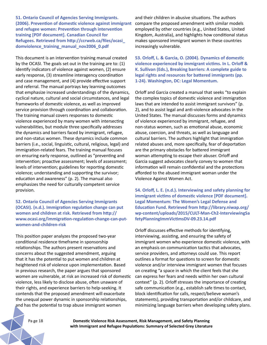**51. Ontario Council of Agencies Serving Immigrants. (2006). Prevention of domestic violence against immigrant and refugee women: Prevention through intervention training [PDF document]. Canadian Council for Refugees. Retrieved from http://ccrweb.ca/files/ocasi\_ domviolence\_training\_manual\_nov2006\_0.pdf**

This document is an intervention training manual created by the OCASI. The goals set out in the training are to: (1) identify indicators of violence against women, (2) ensure early response, (3) streamline interagency coordination and case management, and (4) provide effective support and referral. The manual portrays key learning outcomes that emphasize increased understandings of the dynamics, cyclical nature, cultural and social circumstances, and legal frameworks of domestic violence, as well as improved service provision through coordination and collaboration. The training manual covers responses to domestic violence experienced by many women with intersecting vulnerabilities, but module three specifically addresses the dynamics and barriers faced by immigrant, refugee, and non-status women. These dynamics include common barriers (i.e., social, linguistic, cultural, religious, legal) and immigration-related fears. The training manual focuses on ensuring early response, outlined as "preventing and intervention; proactive assessment; levels of assessment; levels of intervention; guidelines for reporting domestic violence; understanding and supporting the survivor; education and awareness" (p. 2). The manual also emphasizes the need for culturally competent service provision.

## **52. Ontario Council of Agencies Serving Immigrants (OCASI). (n.d.). Immigration regulation change can put women and children at risk. Retrieved from http:// www.ocasi.org/immigration-regulation-change-can-putwomen-and-children-risk**

This position paper analyzes the proposed two-year conditional residence timeframe in sponsorship relationships. The authors present reservations and concerns about the suggested amendment, arguing that it has the potential to put women and children at heightened risk of violence upon implementation. Based in previous research, the paper argues that sponsored women are vulnerable, at risk an increased risk of domestic violence, less likely to disclose abuse, often unaware of their rights, and experience barriers to help-seeking. It contends that the proposed amendment will exacerbate the unequal power dynamic in sponsorship relationships, and has the potential to trap abuse immigrant women

and their children in abusive situations. The authors compare the proposed amendment with similar models employed by other countries (e.g., United States, United Kingdom, Australia), and highlights how conditional status makes sponsored immigrant women in these countries increasingly vulnerable.

**53. Orloff, L. & Garcia, O. (2004). Dynamics of domestic violence experienced by immigrant victims. In L. Orloff & K. Sullivan (Eds.), Breaking barriers: A complete guide to legal rights and resources for battered immigrants (pp. 1-24). Washington, DC: Legal Momentum.**

Orloff and Garcia created a manual that seeks "to explain the complex topics of domestic violence and immigration laws that are intended to assist immigrant survivors" (p. 2), and to assist legal and anti-violence advocates in the United States. The manual discusses forms and dynamics of violence experienced by immigrant, refugee, and non-status women, such as emotional abuse, economic abuse, coercion, and threats, as well as language and cultural barriers. The authors highlight that immigration related abuses and, more specifically, fear of deportation are the primary obstacles for battered immigrant woman attempting to escape their abuser. Orloff and Garcia suggest advocates clearly convey to women that information will remain confidential and the protections afforded to the abused immigrant woman under the Violence Against Women Act.

**54. Orloff, L. E. (n.d.). Interviewing and safety planning for immigrant victims of domestic violence [PDF document]. Legal Momentum: The Women's Legal Defense and Education Fund. Retrieved from http://library.niwap.org/ wp-content/uploads/2015/CULT-Man-Ch2-InterviewingSa fetyPlanningImmVictimsDV-09.23.14.pdf**

Orloff discusses effective methods for identifying, interviewing, assisting, and ensuring the safety of immigrant women who experience domestic violence, with an emphasis on communication tactics that advocates, service providers, and attorneys could use. This report outlines a format for questions to screen for domestic violence and/or interview immigrant women that focuses on creating "a space in which the client feels that she can express her fears and needs within her own cultural context" (p. 2). Orloff stresses the importance of creating safe communication (e.g., establish safe times to contact, block identification for calls, respect/believe woman's statements), providing transportation and/or childcare, and minimizing language barriers when developing safety plans.

Pa ge 18 **Domestic Violence Risk Assessment, Risk Management, and Safety Planning with Immigrant and Refugee Populations: Summary of Selected Grey Literature**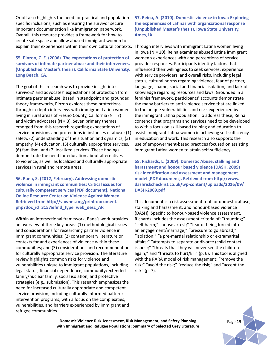Orloff also highlights the need for practical and populationspecific inclusions, such as ensuring the survivor secure important documentation like immigration paperwork. Overall, this resource provides a framework for how to create safe space and allow abused immigrant women to explain their experiences within their own cultural contexts. Through interviews with immigrant Latina women living

**55. Pinzon, C. E. (2006). The expectations of protection of survivors of intimate partner abuse and their interveners. (Unpublished Master's thesis). California State University, Long Beach, CA.**

The goal of this research was to provide insight into survivors' and advocates' expectations of protection from intimate partner abuse. Based in standpoint and grounded theory frameworks, Pinzon explores these protections through in-depth interviews with immigrant Latina women living in rural areas of Fresno County, California (N = 7) and victim advocates ( $N = 3$ ). Seven primary themes emerged from this research regarding expectations of service provisions and protections in instances of abuse: (1) safety, (2) understanding of the situation and dynamics, (3) empathy, (4) education, (5) culturally appropriate services, (6) familism, and (7) localized services. These findings demonstrate the need for education about alternatives to violence, as well as localized and culturally appropriate services in rural and remote areas.

**56. Rana, S. (2012, February). Addressing domestic violence in immigrant communities: Critical issues for culturally competent services [PDF document]. National Online Resource Center on Violence Against Women. Retrieved from http://vawnet.org/print-document. php?doc\_id=3157&find\_type=web\_desc\_AR**

Within an intersectional framework, Rana's work provides an overview of three key areas: (1) methodological issues and considerations for researching partner violence in immigrant communities; (2) contemporary literature on contexts for and experiences of violence within these communities; and (3) considerations and recommendations for culturally appropriate service provision. The literature review highlights common risks for violence and vulnerabilities unique to immigrant populations, including legal status, financial dependence, community/extended family/nuclear family, social isolation, and protective strategies (e.g., submission). This research emphasizes the need for increased culturally appropriate and competent service provision, including culturally informed batterer intervention programs, with a focus on the complexities, vulnerabilities, and barriers experienced by immigrant and refugee communities.

**57. Reina, A. (2010). Domestic violence in Iowa: Exploring the experiences of Latinas with organizational response (Unpublished Master's thesis), Iowa State University, Ames, IA.**

in Iowa ( $N = 10$ ), Reina examines abused Latina immigrant women's experiences with and perceptions of service provider responses. Participants identify factors that influenced their willingness to seek services, experience with service providers, and overall risks, including legal status, cultural norms regarding violence, fear of partner, language, shame, social and financial isolation, and lack of knowledge regarding resources and laws. Grounded in a feminist framework, participants' accounts demonstrate the many barriers to anti-violence service that are linked to the unique vulnerabilities and risks experienced by the immigrant Latina population. To address these, Reina contends that programs and services need to be developed to with a focus on skill-based training and education to assist immigrant Latina women in achieving self-sufficiency in education and work. This research also supports the use of empowerment-based practices focused on assisting immigrant Latina women to attain self-sufficiency.

**58. Richards, L. (2009). Domestic Abuse, stalking and harassment and honour based violence (DASH, 2009) risk identification and assessment and management model [PDF document]. Retrieved from http://www. dashriskchecklist.co.uk/wp-content/uploads/2016/09/ DASH-2009.pdf**

This document is a risk assessment tool for domestic abuse, stalking and harassment, and honour-based violence (DASH). Specific to honour-based violence assessment, Richards includes the assessment criteria of: "traunting;" "self-harm;" "house arrest;" "fear of being forced into an engagement/marriage;" "pressure to go abroad;" "isolation;" "a pre-martial relationship or extramarital affairs;" "attempts to separate or divorce (child contact issues);" "threats that they will never see the children again;" and "threats to hurt/kill" (p. 6). This tool is aligned with the RARA model of risk management: "remove the risk;" "avoid the risk;" "reduce the risk;" and "accept the risk" (p. 7).

**Domestic Violence Risk Assessment, Risk Management, and Safety Planning** *Page 19* **Page 19 with Immigrant and Refugee Populations: Summary of Selected Grey Literature**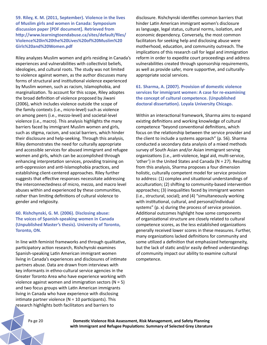**59. Riley, K. M. (2011, September). Violence in the lives of Muslim girls and women in Canada: Symposium discussion paper [PDF document]. Retrieved from http://www.learningtoendabuse.ca/sites/default/files/ Violence%20in%20the%20Lives%20of%20Muslim%20 Girls%20and%20Women.pdf** 

Riley analyzes Muslim women and girls residing in Canada's experiences and vulnerabilities with collectivist beliefs, ideologies, and cultural roots. The study was not limited to violence against women, as the author discusses many forms of structural and institutional violence experienced by Muslim women, such as racism, Islamophobia, and marginalization. To account for this scope, Riley adoptes the broad definition of violence proposed by Jiwani (2006), which includes violence outside the scope of the family contexts (i.e., micro-level) such as violence on among peers (i.e., mezzo-level) and societal-level violence (i.e., macro). This analysis highlights the many barriers faced by immigrant Muslim women and girls, such as stigma, racism, and social barriers, which hinder their disclosure and help-seeking. Through this analysis, Riley demonstrates the need for culturally appropriate and accessible services for abused immigrant and refugee women and girls, which can be accomplished through enhancing interpretation services, providing training on anti-oppression and anti-Islamophobia practices, and establishing client-centered approaches. Riley further suggests that effective responses necessitate addressing the interconnectedness of micro, mezzo, and macro level abuses within and experienced by these communities, rather than limiting definitions of cultural violence to gender and religiosity.

## **60. Rishchynski, G. M. (2006). Disclosing abuse: The voices of Spanish-speaking women in Canada (Unpublished Master's thesis). University of Toronto, Toronto, ON.**

In line with feminist frameworks and through qualitative, participatory action research, Rishchynski examines Spanish-speaking Latin American immigrant women living in Canada's experiences and disclosures of intimate partners abuse. Data are drawn from interviews with key informants in ethno-cultural service agencies in the Greater Toronto Area who have experience working with violence against women and immigration sectors ( $N = 5$ ) and two focus groups with Latin American immigrants living in Canada who have experience with disclosing intimate partner violence ( $N = 10$  participants). This research highlights both facilitators and barriers to

disclosure. Rishchynski identifies common barriers that hinder Latin American immigrant women's disclosure as language, legal status, cultural norms, isolation, and economic dependency. Conversely, the most common facilitators for seeking help and disclosing abuse were motherhood, education, and community outreach. The implications of this research call for legal and immigration reform in order to expedite court proceedings and address vulnerabilities created through sponsorship requirements, as well as provide safer, more supportive, and culturallyappropriate social services.

**61. Sharma, A. (2007). Provision of domestic violence services for immigrant women: A case for re-examining the concept of cultural competence. (Unpublished doctoral dissertation). Loyala University Chicago.** 

Within an interactional framework, Sharma aims to expand existing definitions and working knowledge of cultural competence "beyond conventional definitions, which focus on the relationship between the service provider and the client to include a systems approach" (p. 56). Sharma conducted a secondary data analysis of a mixed methods survey of South Asian and/or Asian immigrant serving organizations (i.e., anti-violence, legal aid, multi-service, 'other') in the United States and Canada (N = 27). Resulting from this analysis, Sharma proposes a four dimension holistic, culturally competent model for service provision to address: (1) complex and situational understandings of acculturation; (2) shifting to community-based intervention approaches; (3) inequalities faced by immigrant women (i.e., structural, social); and (4) "simultaneously working with institutional, cultural, and personal/individual systems" (p. x) during the process of service provision. Additional outcomes highlight how some components of organizational structure are closely related to cultural competence scores, as the less established organizations generally received lower scores in these measures. Further, many organizations lacked definitions for community and some utilized a definition that emphasized heterogeneity, but the lack of static and/or easily defined understandings of community impact our ability to examine cultural competence.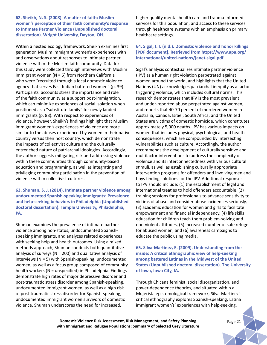## **62. Sheikh, N. S. (2008). A matter of faith: Muslim women's perception of their faith community's response to Intimate Partner Violence (Unpublished doctoral dissertation). Wright University, Dayton, OH.**

Within a nested ecology framework, Sheikh examines first generation Muslim immigrant women's experiences with and observations about responses to intimate partner violence within the Muslim faith community. Data for this study were collected through interviews with Muslim immigrant women (N = 5) from Northern California who were "recruited through a local domestic violence agency that serves East Indian battered women" (p. 39). Participants' accounts stress the importance and role of the faith community as a support post-immigration, which can minimize experiences of social isolation when positioned as a "substitute family" for newly landed immigrants (p. 88). With respect to experiences of violence, however, Sheikh's findings highlight that Muslim immigrant women's experiences of violence are more similar to the abuses experienced by women in their native country versus their host country, which demonstrate the impacts of collectivist culture and the culturally entrenched nature of patriarchal ideologies. Accordingly, the author suggests mitigating risk and addressing violence within these communities through community-based education and programming, as well as integrating and privileging community participation in the prevention of violence within collectivist cultures.

**63. Shuman, S. J. (2014). Intimate partner violence among undocumented Spanish-speaking immigrants: Prevalence and help-seeking behaviors in Philadelphia (Unpublished doctoral dissertation). Temple University, Philadelphia, PA.** 

Shuman examines the prevalence of intimate partner violence among non-status, undocumented Spanishspeaking immigrants, and analyzes related experiences with seeking help and health outcomes. Using a mixed methods approach, Shuman conducts both quantitative analysis of surveys ( $N = 200$ ) and qualitative analysis of interviews (N = 5) with Spanish-speaking, undocumented women, as well as a focus group composed of community health workers (N = unspecified) in Philadelphia. Findings demonstrate high rates of major depressive disorder and post-traumatic stress disorder among Spanish-speaking, undocumented immigrant women, as well as a high risk of post-traumatic stress disorder for Spanish-speaking, undocumented immigrant women survivors of domestic violence. Shuman underscores the need for increased,

higher quality mental health care and trauma-informed services for this population, and access to these services through healthcare systems with an emphasis on primary healthcare settings.

## **64. Sigal, J. I. (n.d.). Domestic violence and honor killings [PDF document]. Retrieved from https://www.apa.org/ international/united-nations/janet-sigal.pdf**

Sigal's analysis contextualizes intimate partner violence (IPV) as a human right violation perpetrated against women around the world, and highlights that the United Nations (UN) acknowledges patriarchal inequity as a factor triggering violence, which includes cultural norms. This research demonstrates that IPV is the most prevalent and under-reported abuse perpetrated against women, and reports that 40-70 percent of murdered women in Australia, Canada, Israel, South Africa, and the United States are victims of domestic homicide, which constitutes approximately 5,000 deaths. IPV has various impacts on women that includes physical, psychological, and health consequences, which are compounded by intersecting vulnerabilities such as culture. Accordingly, the author recommends the development of culturally sensitive and multifactor interventions to address the complexity of violence and its interconnectedness with various cultural stimuli, as well as establishing culturally appropriate intervention programs for offenders and involving men and boys finding solutions for the IPV. Additional responses to IPV should include: (1) the establishment of legal and international treaties to hold offenders accountable, (2) training sessions for professionals to advance sensitivity to victims of abuse and consider abuse incidences seriously, (3) academic education for women and girls to facilitate empowerment and financial independency, (4) life skills education for children teach them problem-solving and non-violent attitudes, (5) increased number of safe refuge for abused women, and (6) awareness campaigns to educate the public using media.

**65. Silva-Martinez, E. (2009). Understanding from the inside: A critical ethnographic view of help-seeking among battered Latinas in the Midwest of the United States (Unpublished doctoral dissertation). The University of Iowa, Iowa City, IA.** 

Through Chicana feminist, social disorganization, and power-dependence theories, and situated within a Mujerista epistemological framework, Silva-Martinez's critical ethnography explores Spanish-speaking, Latina immigrant women's' experiences with help-seeking.

**Domestic Violence Risk Assessment, Risk Management, and Safety Planning** *Page 21* **with Immigrant and Refugee Populations: Summary of Selected Grey Literature**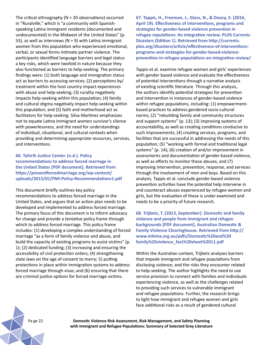The critical ethnography ( $N = 20$  observations) occurred in "Ruralville," which is "a community with Spanishspeaking Latina immigrant residents (documented and undocumented) in the Midwest of the United States" (p. 53), as well as interviews ( $N = 9$ ) with Latina immigrant women from this population who experienced emotional, verbal, or sexual forms intimate partner violence. The participants identified language barriers and legal status a key risks, which were twofold in nature because they also functioned as barriers to help-seeking. The primary findings were: (1) both language and immigration status act as barriers to accessing services; (2) perceptions by/ treatment within the host country impact experiences with abuse and help-seeking; (3) rurality negatively impacts help-seeking within this population; (4) family and cultural stigma negatively impact help-seeking within this population; and (5) faith and motherhood act as facilitators for help-seeking. Silva-Martinez emphasizes not to equate Latina immigrant women survivor's silence with powerlessness, and the need for understandings of individual, situational, and cultural contexts when providing and determining appropriate resources, services, and interventions.

## **66. Tahirih Justice Center. (n.d.). Policy recommendations to address forced marriage in the United States [PDF document]. Retrieved from https://preventforcedmarriage.org/wp-content/ uploads/2015/01/FMI-Policy-Recommendations1.pdf**

This document briefly outlines key policy

recommendations to address forced marriage in the United States, and argues that an action plan needs to be developed and implemented to address forced marriage. The primary focus of this document is to inform advocacy for change and provide a tentative policy frame through which to address forced marriage. This policy frame includes: (1) developing a complex understanding of forced marriage "as a form of family violence and abuse, and build the capacity of existing programs to assist victims" (p. 1); (2) dedicated funding; (3) increasing and ensuring the accessibility of civil protection orders; (4) strengthening state laws on the age of consent to marry; 5) putting protections in place within immigration systems to address forced marriage through visas; and (6) ensuring that there are criminal justice options for forced marriage victims.

**67. Tappis, H., Freeman, J., Glass, N., & Doocy, S. (2016, April 19). Effectiveness of interventions, programs and strategies for gender-based violence prevention in refugee ropulations: An integrative review. PLOS Currents Disasters (Edition 1). Retrieved from http://currents. plos.org/disasters/article/effectiveness-of-interventionsprograms-and-strategies-for-gender-based-violenceprevention-in-refugee-populations-an-integrative-review/**

Tappis et al. examine refugee women and girls' experiences with gender based violence and evaluate the effectiveness of potential interventions through a narrative analysis of existing scientific literature. Through this analysis, the authors identify potential strategies for prevention and intervention in instances of gender-based violence within refugee populations, including: (1) empowermentbased practices to address gendered socio-cultural norms; (2) "rebuilding family and community structures and support systems" (p. 13); (3) improving systems of accountability, as well as creating conditions conducive to such improvements; (4) creating services, programs, and facilities that are successful in addressing the needs of this population; (5) "working with formal and traditional legal systems" (p. 14); (6) creation of and/or improvement in assessments and documentation of gender-based violence, as well as efforts to monitor these abuses; and (7) improving intervention, prevention, response, and services through the involvement of men and boys. Based on this analysis, Tappis et al. conclude gender-based violence prevention activities have the potential help intervene in and counteract abuses experienced by refugee women and girls, but the evaluation of these is under-examined and needs to be a priority of future research.

**68. Trijbetz, T. (2013, September). Domestic and family violence and people from immigrant and refugee backgrounds [PDF document]. Australian Domestic & Family Violence Clearinghouse. Retrieved from http:// www.mhima.org.au/pdfs/Domestic%20and%20 family%20violence\_fact%20sheet%2011.pdf**

Within the Australian context, Trijbetz analyzes barriers that impede immigrant and refugee populations from disclosing violence, and the risks they encounter related to help-seeking. The author highlights the need to use service provision to connect with families and individuals experiencing violence, as well as the challenges related to providing such services to vulnerable immigrant and refugee populations. Further, the research brings to light how immigrant and refugee women and girls face additional risks as a result of gendered cultural

Pa ge 22 **Domestic Violence Risk Assessment, Risk Management, and Safety Planning with Immigrant and Refugee Populations: Summary of Selected Grey Literature**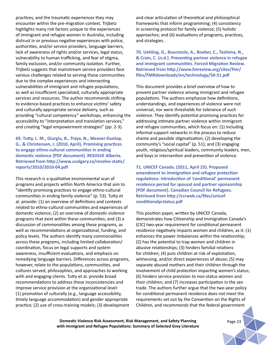practices, and the traumatic experiences they may encounter within the pre-migration context. Trijbetz highlights many risk factors unique to the experiences of immigrant and refugee women in Australia, including distrust in or previous negative experiences with police, authorities, and/or service providers, language barriers, lack of awareness of rights and/or services, legal status, vulnerability to human trafficking, and fear of stigma, family exclusion, and/or community isolation. Further, Trijbetz suggests that mainstream service providers face various challenges related to serving these communities due to the complex experiences and intersecting vulnerabilities of immigrant and refugee populations, as well as insufficient specialized, culturally appropriate services and resources. The author recommends shifting to evidence-based practices to enhance victims' safety and culturally appropriate service delivery, such as providing "cultural competency" workshops, enhancing the accessibility to "interpretation and translation services," and creating "legal empowerment strategies" (pp. 2-3).

## **69. Tutty, L. M., Giurgiu, B., Traya, N., Weaver-Dunlop, G., & Christensen, J. (2010, April). Promising practices to engage ethno-cultural communities in ending domestic violence [PDF document]. RESOLVE Alberta. Retrieved from http://www.ucalgary.ca/resolve-static/ reports/2010/2010-04.pdf**

This research is a qualitative environmental scan of programs and projects within North America that aim to "identify promising practices to engage ethno-cultural communities in ending family violence" (p. 53). Tutty et al. provide: (1) an overview of definitions and contexts related to ethno-cultural communities and experiences of domestic violence; (2) an overview of domestic violence programs that exist within these communities; and (3) a discussion of commonalities among these programs, as well as recommendations at organizational, funding, and policy levels. The authors identify many commonalities across these programs, including limited collaboration/ coordination, focus on legal supports and system awareness, insufficient evaluations, and emphasis on remedying language barriers. Differences across programs, however, relate to the populations, communities, and cultures served, philosophies, and approaches to working with and engaging clients. Tutty et al. provide broad recommendations to address these inconsistencies and improve service provision at the organizational level: (1) promotion of culturally (e.g., language accessibility, timely language accommodation) and gender appropriate practice; (2) use of cross-training models; (3) development

and clear articulation of theoretical and philosophical frameworks that inform programming; (4) consistency in screening protocol for family violence; (5) holistic approaches; and (6) evaluations of programs, practices, and strategies.

**70. Uehling, G., Bouroncle, A., Roeber, C., Tashima, N., & Crain, C. (n.d.). Preventing partner violence in refugee and immigrant communities. Forced Migration Review. Retrieved from http://www.fmreview.org/sites/fmr/ files/FMRdownloads/en/technology/50-51.pdf**

This document provides a brief overview of how to prevent partner violence among immigrant and refugee populations. The authors emphasize how definitions, understandings, and experiences of violence were not universal, nor were thresholds for tolerance of such violence. They identify potential promising practices for addressing intimate partner violence within immigrant and refugee communities, which focus on: (1) including informal support networks in the process to reduce shame and possible stigmatization; (2) developing the community's "social capital" (p. 51); and (3) engaging youth, religious/spiritual leaders, community leaders, men, and boys in intervention and prevention of violence.

**71. UNICEF Canada. (2011, April 25). Proposed amendment to immigration and refugee protection regulations: Introduction of 'conditional' permanent residence period for spousal and partner sponsorship [PDF document]. Canadian Council for Refugees. Retrieved from http://ccrweb.ca/files/unicefconditionalprstatus.pdf**

This position paper, written by UNICEF Canada, demonstrates how Citizenship and Immigration Canada's (CIC) two-year requirement for conditional permanent residence negatively impacts women and children, as it: (1) enhances the power imbalances within the relationship; (2) has the potential to trap women and children in abusive relationships; (3) hinders familial relations for children; (4) puts children at risk of exploitation, witnessing, and/or direct experiences of abuse; (5) may separate abused mothers and their children through the involvement of child protection impacting women's status; (6) hinders service provision to non-status women and their children; and (7) increases participation in the sex trade. The authors further argue that the two-year policy for conditional permanent residence does not meet the requirements set out by the Convention on the Rights of Children, and recommends that the federal government

**Domestic Violence Risk Assessment, Risk Management, and Safety Planning** Page 23 **with Immigrant and Refugee Populations: Summary of Selected Grey Literature**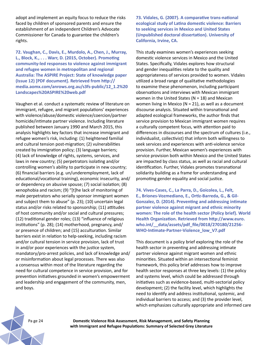adopt and implement an equity focus to reduce the risks faced by children of sponsored parents and ensure the establishment of an independent Children's Advocate Commissioner for Canada to guarantee the children's rights.

**72. Vaughan, C., Davis, E., Murdolo, A., Chen, J., Murray, L., Block, K., . . . Warr, D. (2015, October). Promoting community-led responses to violence against immigrant and refugee women in metropolitan and regional Australia: The ASPIRE Project: State of knowledge paper (Issue 12) [PDF document]. Retrieved from http:// media.aomx.com/anrows.org.au/s3fs-public/12\_1.2%20 Landscapes%20ASPIRE%20web.pdf**

Vaughen et al. conduct a systematic review of literature on immigrant, refugee, and migrant populations' experiences with violence/abuse/domestic violence/coercion/partner homicide/intimate partner violence. Including literature published between January 1990 and March 2015, this analysis highlights key factors that increase immigrant and refugee women's risk, including: (1) heightened familial and cultural tension post-migration; (2) vulnerabilities created by immigration policy; (3) language barriers; (4) lack of knowledge of rights, systems, services, and laws in new country; (5) perpetrators isolating and/or controlling women's ability to participate in new country; (6) financial barriers (e.g. un/underemployment, lack of educational/vocational training), economic insecurity, and/ or dependency on abusive spouse; (7) social isolation; (8) xenophobia and racism; (9) "[t]he lack of monitoring of male perpetrators who serially sponsor immigrant women and subject them to abuse" (p. 23); (10) uncertain legal status and/or risks related to sponsorship; (11) attitudes of host community and/or social and cultural pressures; (12) traditional gender roles; (13) "influence of religious institutions" (p. 28); (14) motherhood, pregnancy, and/ or presence of children; and (15) acculturation. Similar barriers exist in relation to help-seeking, including racism and/or cultural tension in service provision, lack of trust in and/or poor experiences with the justice system, mandatory/pro-arrest policies, and lack of knowledge and/ or misinformation about legal processes. There was also a consensus within most of the literature regarding the need for cultural competence in service provision, and for prevention initiatives grounded in women's empowerment and leadership and engagement of the community, men, and boys.

**73. Vidales, G. (2007). A comparative trans-national ecological study of Latina domestic violence: Barriers to seeking services in Mexico and United States (Unpublished doctoral dissertation). University of California, Irvine, CA.**

This study examines women's experiences seeking domestic violence services in Mexico and the United States. Specifically, Vidales explores how structural and gender inequalities relate to the quality and appropriateness of services provided to women. Vidales utilized a broad range of qualitative methodologies to examine these phenomenon, including participant observations and interviews with Mexican immigrant women in the United States ( $N = 18$ ) and Mexican women living in Mexico ( $N = 21$ ), as well as a document discourse analysis. Situated within transnational and adapted ecological frameworks, the author finds that service provision to Mexican immigrant women requires a culturally competent focus, with attention paid to differences in discourses and the spectrum of cultures (i.e., individualist, collectivist) that inform both willingness to seek services and experiences with anti-violence service provision. Further, Mexican women's experiences with service provision both within Mexico and the United States are impacted by class status, as well as racial and cultural identification. Further, Vidales promotes transnational solidarity building as a frame for understanding and promoting gender equality and social justice.

**74. Vives-Cases, C., La Parra, D., Goicolea, L., Felt, E., Briones-Vozmediano, E., Ortiz-Barreda, G., & Gil-Gonzalez, D. (2014). Preventing and addressing intimate partner violence against migrant and ethnic minority women: The role of the health sector (Policy brief). World Health Organization. Retrieved from http://www.euro. who.int/\_\_data/assets/pdf\_file/0018/270180/21256- WHO-Intimate-Partner-Violence\_low\_V7.pdf**

This document is a policy brief exploring the role of the health sector in preventing and addressing intimate partner violence against migrant women and ethnic minorities. Situated within an intersectional feminist framework, this policy brief addresses how to improve health sector responses at three key levels: (1) the policy and systems level, which could be addressed through initiatives such as evidence-based, multi-sectorial policy development; (2) the facility level, which highlights the need to identify and address institutional, systemic, and individual barriers to access; and (3) the provider level, which emphasizes culturally appropriate and informed care

Pa ge 24 **Domestic Violence Risk Assessment, Risk Management, and Safety Planning with Immigrant and Refugee Populations: Summary of Selected Grey Literature**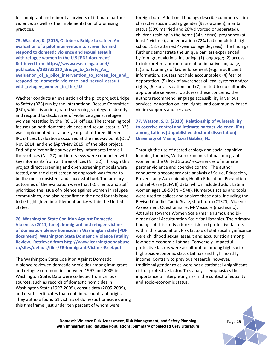for immigrant and minority survivors of intimate partner violence, as well as the implementation of promising practices.

**75. Wachter, K. (2015, October). Bridge to safety: An evaluation of a pilot intervention to screen for and respond to domestic violence and sexual assault with refugee women in the U.S [PDF document]. Retrieved from https://www.researchgate.net/ publication/283733010\_Bridge\_to\_Safety\_An\_ evaluation\_of\_a\_pilot\_intervention\_to\_screen\_for\_and\_ respond\_to\_domestic\_violence\_and\_sexual\_assault\_ with\_refugee\_women\_in\_the\_US**

Wachter conducts an evaluation of the pilot project Bridge to Safety (B2S) run by the International Rescue Committee (IRC), which is an integrated screening strategy to identify and respond to disclosures of violence against refugee women resettled by the IRC USP offices. The screening tool focuses on both domestic violence and sexual assault. B2S was implemented for a one-year pilot at three different IRC offices. Evaluations occurred at the midway point (Oct/ Nov 2014) and end (Apr/May 2015) of the pilot project. End-of-project online survey of key informants from all three offices ( $N = 27$ ) and interviews were conducted with key informants from all three offices ( $N = 32$ ). Through this project direct screening and open screening models were tested, and the direct screening approach was found to be the most consistent and successful tool. The primary outcomes of the evaluation were that IRC clients and staff prioritized the issue of violence against women in refugee communities, and also reconfirmed the need for this issue to be highlighted in settlement policy within the United States.

**76. Washington State Coalition Against Domestic Violence. (2011, June). Immigrant and refugee victims of domestic violence homicide in Washington state [PDF document]. Washington State Domestic Violence Fatality Review. Retrieved from http://www.learningtoendabuse. ca/sites/default/files/FR-Immigrant-Victims-Brief.pdf**

The Washington State Coalition Against Domestic Violence reviewed domestic homicides among immigrant and refugee communities between 1997 and 2009 in Washington State. Data were collected from various sources, such as records of domestic homicides in Washington State (1997-2009), census data (2005-2009), and death certificates that contained country of origin. They authors found 61 victims of domestic homicide during this timeframe, just under ten percent of whom were

foreign-born. Additional findings describe common victim characteristics including gender (93% women), marital status (59% married and 20% divorced or separated), children residing in the home (34 victims), pregnancy (at least 4 victims), and education (72% had completed highschool, 18% attained 4-year college degrees). The findings further demonstrate the unique barriers experienced by immigrant victims, including: (1) language; (2) access to interpreters and/or information in native language; (3) shortcomings of law enforcement (e.g., insufficient information, abusers not held accountable); (4) fear of deportation; (5) lack of awareness of legal systems and/or rights; (6) social isolation; and (7) limited-to-no culturally appropriate services. To address these concerns, the authors recommend language accessibility in various services, education on legal rights, and community-based victim supports and services.

**77. Watson, S. D. (2010). Relationship of vulnerability to coercive control and intimate partner violence (IPV) among Latinas (Unpublished doctoral dissertation). University of Miami, Coral Gables, FL.** 

Through the use of nested ecology and social cognitive learning theories, Watson examines Latina immigrant women in the United States' experiences of intimate partner violence and coercive control. The author conducted a secondary data analysis of Salud, Educacion, Prevencion y Autocuidado; Health Education, Prevention and Self-Care (SEPA II) data, which included adult Latina women ages 18-50 ( $N = 548$ ). Numerous scales and tools were used to collect and analyze these data, including the Revised Conflict Tactic Scale, short form (CTS2S), Violence Assessment Questionnaire, M-Measure (machismo), Attitudes towards Women Scale (marianismo), and Bidimensional Acculturation Scale for Hispanics. The primary findings of this study address risk and protective factors within this population. Risk factors of statistical significance were childhood sexual assault and acculturation among low socio-economic Latinas. Conversely, impactful protective factors were acculturation among high sociohigh socio-economic status Latinas and high monthly income. Contrary to previous research, however, traditional gender roles were not a statistically significant risk or protective factor. This analysis emphasizes the importance of interpreting risk in the context of equality and socio-economic status.

**Domestic Violence Risk Assessment, Risk Management, and Safety Planning** *Page 25* **with Immigrant and Refugee Populations: Summary of Selected Grey Literature**

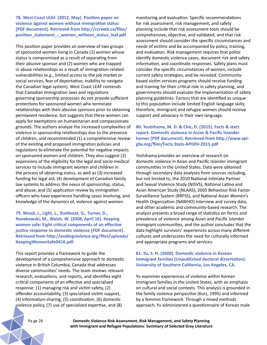**78. West Coast LEAF. (2012, May). Position paper on violence against women without immigration status [PDF document]. Retrieved from http://ccrweb.ca/files/ position\_statement\_-\_women\_without\_status\_leaf.pdf** 

This position paper provides an overview of two groups of sponsored women living in Canada (1) women whose status is compromised as a result of separating from their abusive sponsor and (2) women who are trapped in abuse relationships as a result of immigration-related vulnerabilities (e.g., limited access to the job market or social services, fear of deportation, inability to navigate the Canadian legal system). West Coast LEAF contends that Canadian immigration laws and regulations governing sponsorship processes do not provide sufficient protections for sponsored women who terminate relationships with their abusive sponsors prior to obtaining permanent residence, but suggests that these women can apply for exemptions on humanitarian and compassionate grounds. The authors analyze the increased complexities of violence in sponsorship relationships due to the presence of children, and recommended (1) a comprehensive review of the existing and proposed immigration policies and regulations to eliminate the potential for negative impacts on sponsored women and children. They also suggest (2) expansions of the eligibility for the legal and socio-medical services to include immigrant women and children in the process of obtaining status, as well as (3) increased funding for legal aid, (4) development of Canadian family law systems to address the nexus of sponsorship, status, and abuse, and (5) application review by immigration officers who have experience handling cases involving, and knowledge of the dynamics of, violence against women.

**79. Wood, J., Light, L., Ruebsaat, G., Turner, D., Novakowski, M., Walsh, W. (2008, April 16). Keeping women safe: Eight critical components of an effective justice response to domestic violence [PDF document]. Retrieved from http://endingviolence.org/files/uploads/ KeepingWomenSafe0416.pdf**

This report provides a framework to guide the development of a comprehensive approach to domestic violence in British Columbia, Canada that addresses diverse communities' needs. The team reviews relevant research, evaluations, and reports, and identifies eight critical components of an effective and specialized response: (1) managing risk and victim safety, (2) offender accountability, (3) specialized victim support, (4) information-sharing, (5) coordination, (6) domestic violence policy, (7) use of specialized expertise, and (8)

monitoring and evaluation. Specific recommendations for risk assessment, risk management, and safety planning include that risk assessment tools should be comprehensive, objective, and validated, and that risk assessment should consider the specific circumstances and needs of victims and be accompanied by policy, training, and evaluation. Risk management requires that police identify domestic violence cases, document risk and safety information, and coordinate responses. Safety plans must consider the specific circumstances of women, include current safety strategies, and be revisited. Communitybased victim services programs should receive funding and training for their critical role in safety planning, and governments should evaluate the implementation of safety planning guidelines. Factors that are identified as unique to this population include limited English language skills; therefore, immigrant and refugee women should receive support and advocacy in their own language.

### **80. Yoshihama, M. D. & Chic, D. (2015). Facts & stats report: Domestic violence in Asian & Pacific Islander homes [PDF document]. Retrieved from http://www.apigbv.org/files/Facts.Stats-APIIDV-2015.pdf**

Yoshihama provides an overview of research on domestic violence in Asian and Pacific Islander immigrant communities in the United States. Data were obtained through secondary data analyses from sources including, but not limited to, the 2010 National Intimate Partner and Sexual Violence Study (NISVS), National Latino and Asian American Study (NLAAS), 2005 Behaviour Risk Factor Surveillance System (BRFSS), and National Asian Women's Health Organization (NAWHO) interview and survey data, and other academic and community-based research. The analysis presents a broad range of statistics on forms and prevalence of violence among Asian and Pacific Islander immigrant communities, and the author concludes that the data highlight survivors' experiences across many different cultures and underscores the need for culturally informed and appropriate programs and services.

## **81. Yu, S. H. (2000). Domestic violence in Korean immigrant families (Unpublished doctoral dissertation). University of Southern California, Los Angeles, CA.**

Yu examines experiences of violence within Korean immigrant families in the United States, with an emphasis on cultural and social contexts. This analysis is grounded in the family violence perspective (Kurz, 1995) and informed by a feminist framework. Through a mixed methods approach, Yu administered a questionnaire of Korean male

Pa ge 26 **Domestic Violence Risk Assessment, Risk Management, and Safety Planning with Immigrant and Refugee Populations: Summary of Selected Grey Literature**